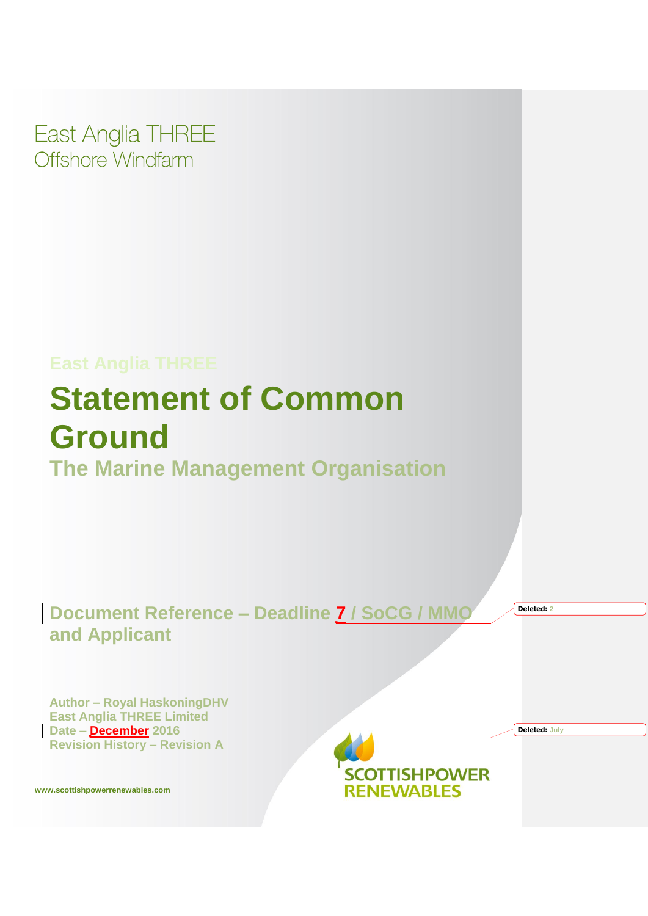

# **East Anglia THREE Statement of Common Ground**

**The Marine Management Organisation**

**Document Reference – Deadline 7 / SoCG / MMO and Applicant**

**Deleted: 2**

**Deleted: July**

**Author – Royal HaskoningDHV East Anglia THREE Limited Date – December 2016 Revision History – Revision A**

> **SCOTTISHPOWER RENEWABLES**

**www.scottishpowerrenewables.com**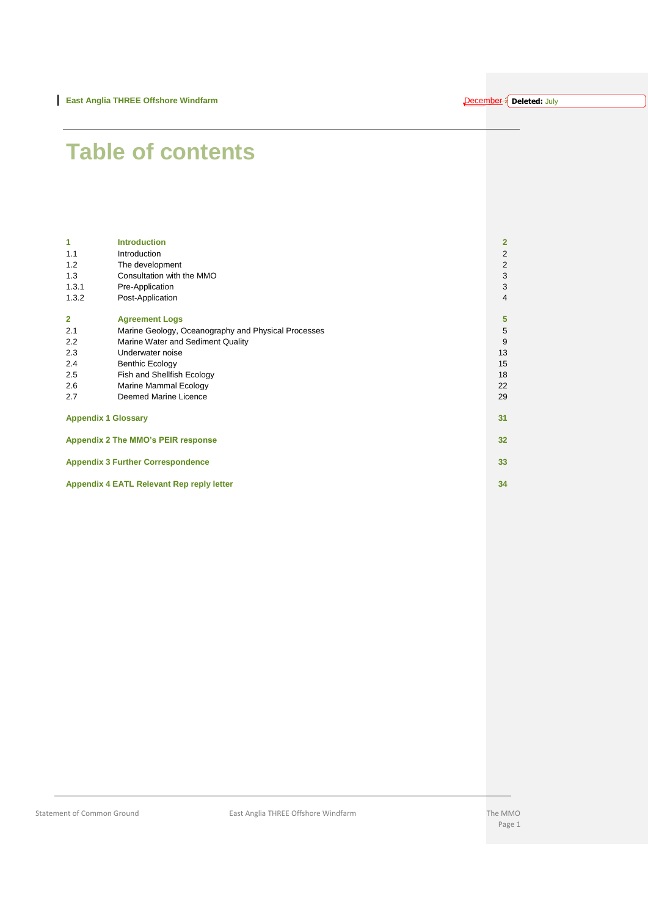### **Table of contents**

| $\blacktriangleleft$       | <b>Introduction</b>                                 | 2                       |
|----------------------------|-----------------------------------------------------|-------------------------|
| 1.1                        | Introduction                                        | $\overline{\mathbf{c}}$ |
| 1.2                        | The development                                     | $\overline{\mathbf{c}}$ |
| 1.3                        | Consultation with the MMO                           | 3                       |
| 1.3.1                      | Pre-Application                                     | 3                       |
| 1.3.2                      | Post-Application                                    | 4                       |
| $\overline{2}$             | <b>Agreement Logs</b>                               | 5                       |
| 2.1                        | Marine Geology, Oceanography and Physical Processes | 5                       |
| 2.2                        | Marine Water and Sediment Quality                   | 9                       |
| 2.3                        | Underwater noise                                    | 13                      |
| 2.4                        | <b>Benthic Ecology</b>                              | 15                      |
| 2.5                        | Fish and Shellfish Ecology                          | 18                      |
| 2.6                        | Marine Mammal Ecology                               | 22                      |
| 2.7                        | Deemed Marine Licence                               | 29                      |
| <b>Appendix 1 Glossary</b> |                                                     | 31                      |
|                            | <b>Appendix 2 The MMO's PEIR response</b>           | 32                      |
|                            | <b>Appendix 3 Further Correspondence</b>            | 33                      |
|                            | Appendix 4 EATL Relevant Rep reply letter           | 34                      |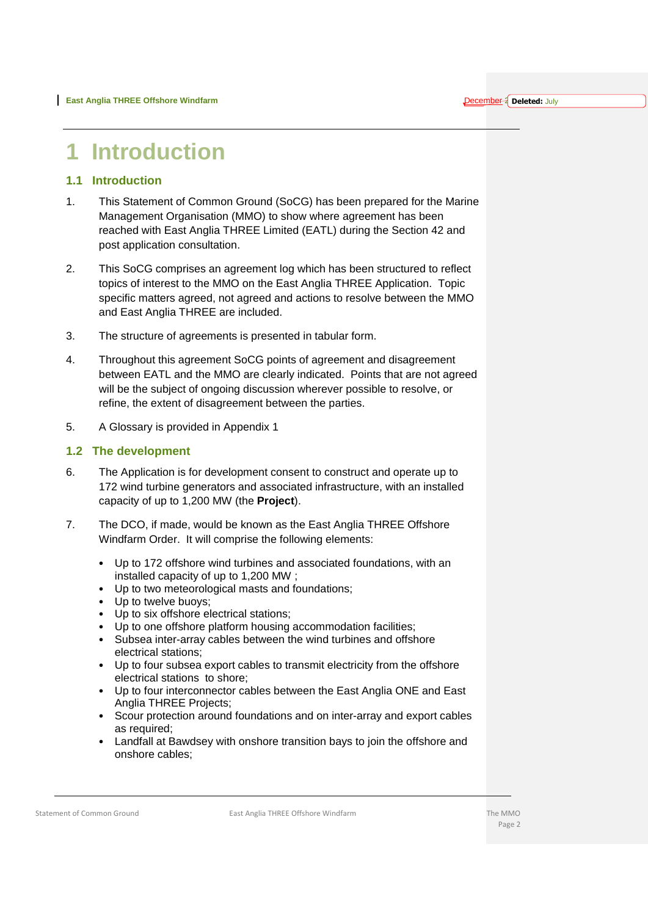### <span id="page-2-0"></span>**1 Introduction**

#### <span id="page-2-1"></span>**1.1 Introduction**

- 1. This Statement of Common Ground (SoCG) has been prepared for the Marine Management Organisation (MMO) to show where agreement has been reached with East Anglia THREE Limited (EATL) during the Section 42 and post application consultation.
- 2. This SoCG comprises an agreement log which has been structured to reflect topics of interest to the MMO on the East Anglia THREE Application. Topic specific matters agreed, not agreed and actions to resolve between the MMO and East Anglia THREE are included.
- 3. The structure of agreements is presented in tabular form.
- 4. Throughout this agreement SoCG points of agreement and disagreement between EATL and the MMO are clearly indicated. Points that are not agreed will be the subject of ongoing discussion wherever possible to resolve, or refine, the extent of disagreement between the parties.
- 5. A Glossary is provided in Appendix 1

#### <span id="page-2-2"></span>**1.2 The development**

- 6. The Application is for development consent to construct and operate up to 172 wind turbine generators and associated infrastructure, with an installed capacity of up to 1,200 MW (the **Project**).
- 7. The DCO, if made, would be known as the East Anglia THREE Offshore Windfarm Order. It will comprise the following elements:
	- Up to 172 offshore wind turbines and associated foundations, with an installed capacity of up to 1,200 MW ;
	- Up to two meteorological masts and foundations;
	- Up to twelve buoys;
	- Up to six offshore electrical stations;
	- Up to one offshore platform housing accommodation facilities;
	- Subsea inter-array cables between the wind turbines and offshore electrical stations;
	- Up to four subsea export cables to transmit electricity from the offshore electrical stations to shore;
	- Up to four interconnector cables between the East Anglia ONE and East Anglia THREE Projects;
	- Scour protection around foundations and on inter-array and export cables as required;
	- Landfall at Bawdsey with onshore transition bays to join the offshore and onshore cables;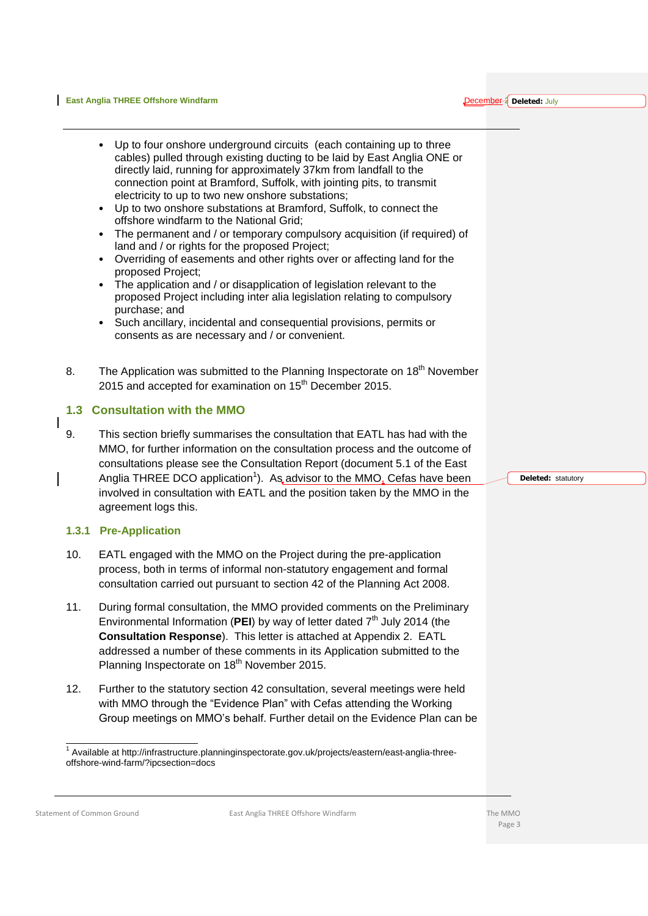- Up to four onshore underground circuits (each containing up to three cables) pulled through existing ducting to be laid by East Anglia ONE or directly laid, running for approximately 37km from landfall to the connection point at Bramford, Suffolk, with jointing pits, to transmit electricity to up to two new onshore substations;
- Up to two onshore substations at Bramford, Suffolk, to connect the offshore windfarm to the National Grid;
- The permanent and / or temporary compulsory acquisition (if required) of land and / or rights for the proposed Project;
- Overriding of easements and other rights over or affecting land for the proposed Project;
- The application and / or disapplication of legislation relevant to the proposed Project including inter alia legislation relating to compulsory purchase; and
- Such ancillary, incidental and consequential provisions, permits or consents as are necessary and / or convenient.
- 8. The Application was submitted to the Planning Inspectorate on 18<sup>th</sup> November 2015 and accepted for examination on 15<sup>th</sup> December 2015.

### <span id="page-3-0"></span>**1.3 Consultation with the MMO**

9. This section briefly summarises the consultation that EATL has had with the MMO, for further information on the consultation process and the outcome of consultations please see the Consultation Report (document 5.1 of the East Anglia THREE DCO application<sup>1</sup>). As advisor to the MMO, Cefas have been involved in consultation with EATL and the position taken by the MMO in the agreement logs this.

#### <span id="page-3-1"></span>**1.3.1 Pre-Application**

- 10. EATL engaged with the MMO on the Project during the pre-application process, both in terms of informal non-statutory engagement and formal consultation carried out pursuant to section 42 of the Planning Act 2008.
- 11. During formal consultation, the MMO provided comments on the Preliminary Environmental Information (PEI) by way of letter dated 7<sup>th</sup> July 2014 (the **Consultation Response**). This letter is attached at Appendix 2. EATL addressed a number of these comments in its Application submitted to the Planning Inspectorate on 18<sup>th</sup> November 2015.
- 12. Further to the statutory section 42 consultation, several meetings were held with MMO through the "Evidence Plan" with Cefas attending the Working Group meetings on MMO's behalf. Further detail on the Evidence Plan can be

**Deleted:** statutory

Statement of Common Ground **East Anglia THREE Offshore Windfarm** The MMO

 1 Available at http://infrastructure.planninginspectorate.gov.uk/projects/eastern/east-anglia-threeoffshore-wind-farm/?ipcsection=docs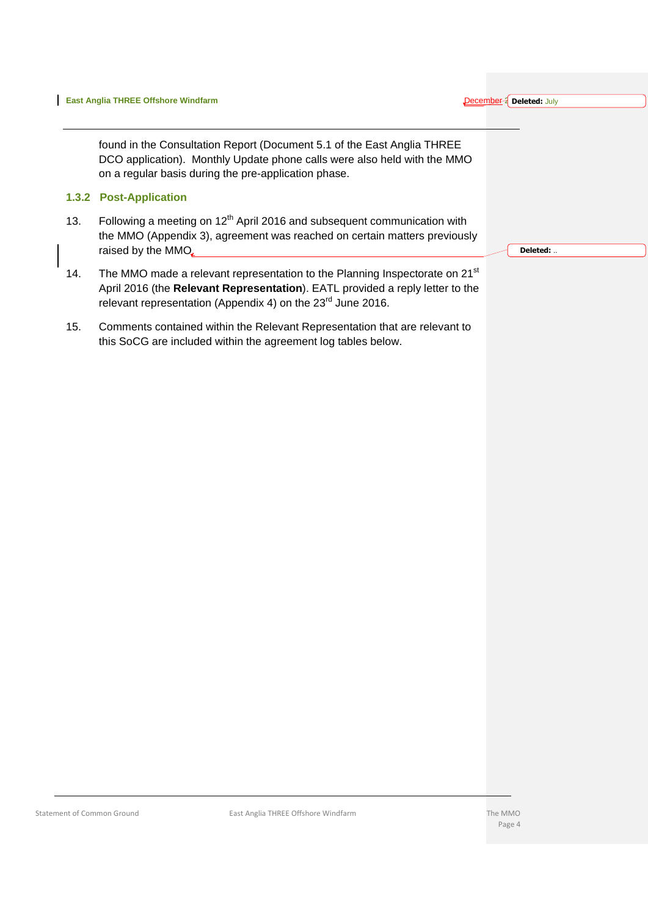found in the Consultation Report (Document 5.1 of the East Anglia THREE DCO application). Monthly Update phone calls were also held with the MMO on a regular basis during the pre-application phase.

#### <span id="page-4-0"></span>**1.3.2 Post-Application**

- 13. Following a meeting on  $12<sup>th</sup>$  April 2016 and subsequent communication with the MMO (Appendix 3), agreement was reached on certain matters previously raised by the MMO.
- 14. The MMO made a relevant representation to the Planning Inspectorate on 21<sup>st</sup> April 2016 (the **Relevant Representation**). EATL provided a reply letter to the relevant representation (Appendix 4) on the 23<sup>rd</sup> June 2016.
- 15. Comments contained within the Relevant Representation that are relevant to this SoCG are included within the agreement log tables below.

**December 2** Deleted: July

**Deleted:** ..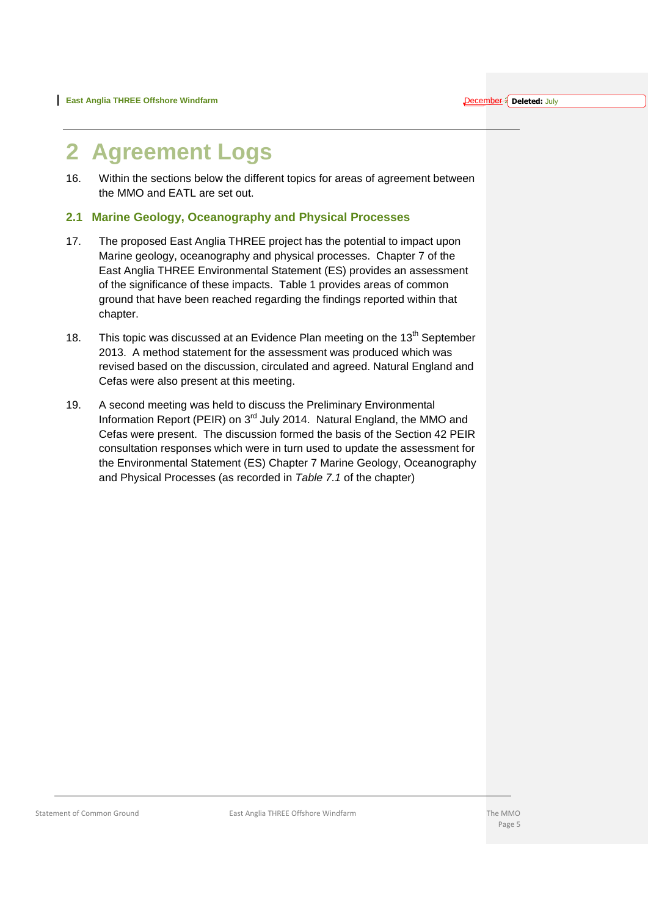### <span id="page-5-0"></span>**2 Agreement Logs**

- 16. Within the sections below the different topics for areas of agreement between the MMO and EATL are set out.
- <span id="page-5-1"></span>**2.1 Marine Geology, Oceanography and Physical Processes**
- 17. The proposed East Anglia THREE project has the potential to impact upon Marine geology, oceanography and physical processes. Chapter 7 of the East Anglia THREE Environmental Statement (ES) provides an assessment of the significance of these impacts. Table 1 provides areas of common ground that have been reached regarding the findings reported within that chapter.
- 18. This topic was discussed at an Evidence Plan meeting on the  $13<sup>th</sup>$  September 2013. A method statement for the assessment was produced which was revised based on the discussion, circulated and agreed. Natural England and Cefas were also present at this meeting.
- 19. A second meeting was held to discuss the Preliminary Environmental Information Report (PEIR) on 3<sup>rd</sup> July 2014. Natural England, the MMO and Cefas were present. The discussion formed the basis of the Section 42 PEIR consultation responses which were in turn used to update the assessment for the Environmental Statement (ES) Chapter 7 Marine Geology, Oceanography and Physical Processes (as recorded in *Table 7.1* of the chapter)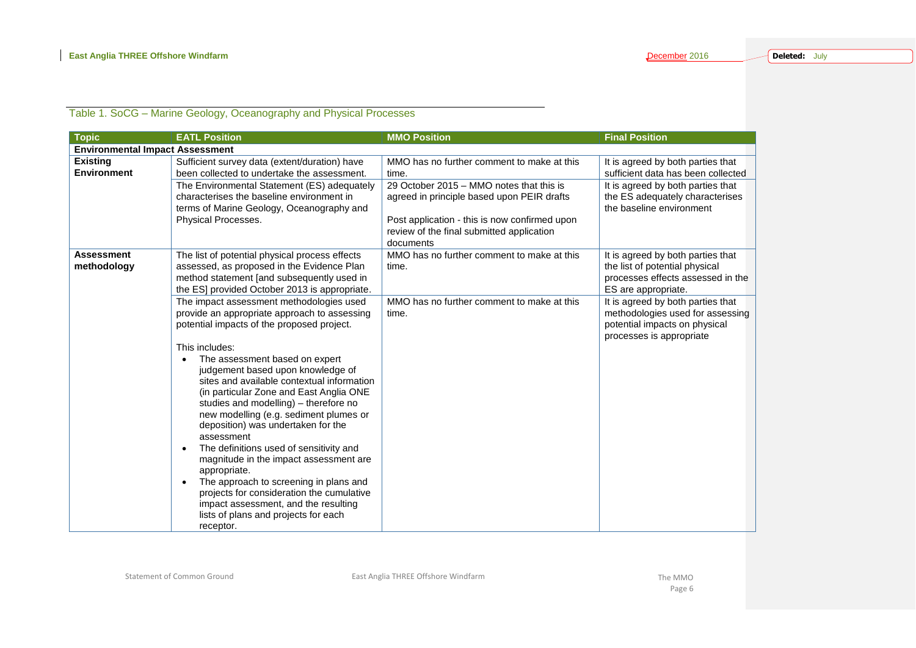### Table 1. SoCG – Marine Geology, Oceanography and Physical Processes

| <b>Environmental Impact Assessment</b><br><b>Existing</b> | Sufficient survey data (extent/duration) have                                                                                                                       |                                                                                            |                                    |
|-----------------------------------------------------------|---------------------------------------------------------------------------------------------------------------------------------------------------------------------|--------------------------------------------------------------------------------------------|------------------------------------|
|                                                           |                                                                                                                                                                     |                                                                                            |                                    |
|                                                           |                                                                                                                                                                     | MMO has no further comment to make at this                                                 | It is agreed by both parties that  |
| <b>Environment</b>                                        | been collected to undertake the assessment.                                                                                                                         | time.                                                                                      | sufficient data has been collected |
|                                                           | The Environmental Statement (ES) adequately                                                                                                                         | 29 October 2015 - MMO notes that this is                                                   | It is agreed by both parties that  |
|                                                           | characterises the baseline environment in                                                                                                                           | agreed in principle based upon PEIR drafts                                                 | the ES adequately characterises    |
|                                                           | terms of Marine Geology, Oceanography and                                                                                                                           |                                                                                            | the baseline environment           |
|                                                           | Physical Processes.                                                                                                                                                 | Post application - this is now confirmed upon<br>review of the final submitted application |                                    |
|                                                           |                                                                                                                                                                     | documents                                                                                  |                                    |
| <b>Assessment</b>                                         | The list of potential physical process effects                                                                                                                      | MMO has no further comment to make at this                                                 | It is agreed by both parties that  |
| methodology                                               | assessed, as proposed in the Evidence Plan                                                                                                                          | time.                                                                                      | the list of potential physical     |
|                                                           | method statement [and subsequently used in                                                                                                                          |                                                                                            | processes effects assessed in the  |
|                                                           | the ES] provided October 2013 is appropriate.                                                                                                                       |                                                                                            | ES are appropriate.                |
|                                                           | The impact assessment methodologies used                                                                                                                            | MMO has no further comment to make at this                                                 | It is agreed by both parties that  |
|                                                           | provide an appropriate approach to assessing                                                                                                                        | time.                                                                                      | methodologies used for assessing   |
|                                                           | potential impacts of the proposed project.                                                                                                                          |                                                                                            | potential impacts on physical      |
|                                                           |                                                                                                                                                                     |                                                                                            | processes is appropriate           |
|                                                           | This includes:                                                                                                                                                      |                                                                                            |                                    |
|                                                           | The assessment based on expert<br>$\bullet$                                                                                                                         |                                                                                            |                                    |
|                                                           | judgement based upon knowledge of                                                                                                                                   |                                                                                            |                                    |
|                                                           | sites and available contextual information<br>(in particular Zone and East Anglia ONE)                                                                              |                                                                                            |                                    |
|                                                           | studies and modelling) - therefore no                                                                                                                               |                                                                                            |                                    |
|                                                           | new modelling (e.g. sediment plumes or                                                                                                                              |                                                                                            |                                    |
|                                                           | deposition) was undertaken for the                                                                                                                                  |                                                                                            |                                    |
|                                                           | assessment                                                                                                                                                          |                                                                                            |                                    |
|                                                           | The definitions used of sensitivity and<br>$\bullet$                                                                                                                |                                                                                            |                                    |
|                                                           | magnitude in the impact assessment are                                                                                                                              |                                                                                            |                                    |
|                                                           | appropriate.                                                                                                                                                        |                                                                                            |                                    |
|                                                           | $\bullet$                                                                                                                                                           |                                                                                            |                                    |
|                                                           |                                                                                                                                                                     |                                                                                            |                                    |
|                                                           |                                                                                                                                                                     |                                                                                            |                                    |
|                                                           | receptor.                                                                                                                                                           |                                                                                            |                                    |
|                                                           | The approach to screening in plans and<br>projects for consideration the cumulative<br>impact assessment, and the resulting<br>lists of plans and projects for each |                                                                                            |                                    |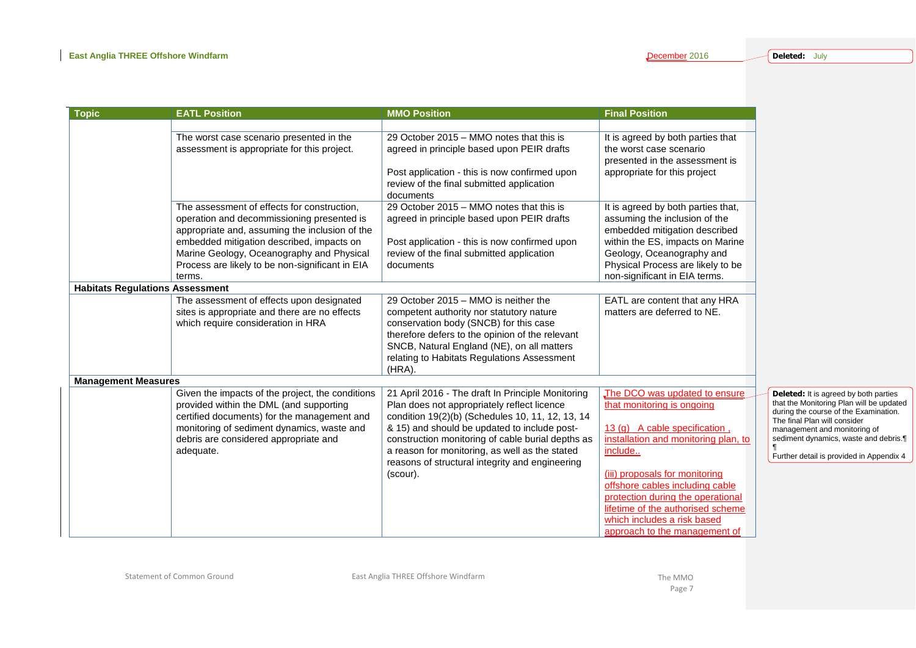| <b>Topic</b>               | <b>EATL Position</b>                                                                                                                                                                     | <b>MMO Position</b>                                                                                                                                                                                                                                                                  | <b>Final Position</b>                                                                                                                                                                                       |                                                                                                                                                                   |
|----------------------------|------------------------------------------------------------------------------------------------------------------------------------------------------------------------------------------|--------------------------------------------------------------------------------------------------------------------------------------------------------------------------------------------------------------------------------------------------------------------------------------|-------------------------------------------------------------------------------------------------------------------------------------------------------------------------------------------------------------|-------------------------------------------------------------------------------------------------------------------------------------------------------------------|
|                            |                                                                                                                                                                                          |                                                                                                                                                                                                                                                                                      |                                                                                                                                                                                                             |                                                                                                                                                                   |
|                            | The worst case scenario presented in the<br>assessment is appropriate for this project.                                                                                                  | 29 October 2015 - MMO notes that this is<br>agreed in principle based upon PEIR drafts                                                                                                                                                                                               | It is agreed by both parties that<br>the worst case scenario<br>presented in the assessment is                                                                                                              |                                                                                                                                                                   |
|                            |                                                                                                                                                                                          | Post application - this is now confirmed upon<br>review of the final submitted application<br>documents                                                                                                                                                                              | appropriate for this project                                                                                                                                                                                |                                                                                                                                                                   |
|                            | The assessment of effects for construction,<br>operation and decommissioning presented is<br>appropriate and, assuming the inclusion of the<br>embedded mitigation described, impacts on | 29 October 2015 - MMO notes that this is<br>agreed in principle based upon PEIR drafts<br>Post application - this is now confirmed upon                                                                                                                                              | It is agreed by both parties that,<br>assuming the inclusion of the<br>embedded mitigation described<br>within the ES, impacts on Marine                                                                    |                                                                                                                                                                   |
|                            | Marine Geology, Oceanography and Physical<br>Process are likely to be non-significant in EIA<br>terms.                                                                                   | review of the final submitted application<br>documents                                                                                                                                                                                                                               | Geology, Oceanography and<br>Physical Process are likely to be<br>non-significant in EIA terms.                                                                                                             |                                                                                                                                                                   |
|                            | <b>Habitats Regulations Assessment</b>                                                                                                                                                   |                                                                                                                                                                                                                                                                                      |                                                                                                                                                                                                             |                                                                                                                                                                   |
|                            | The assessment of effects upon designated<br>sites is appropriate and there are no effects<br>which require consideration in HRA                                                         | 29 October 2015 – MMO is neither the<br>competent authority nor statutory nature<br>conservation body (SNCB) for this case<br>therefore defers to the opinion of the relevant<br>SNCB, Natural England (NE), on all matters<br>relating to Habitats Regulations Assessment<br>(HRA). | EATL are content that any HRA<br>matters are deferred to NE.                                                                                                                                                |                                                                                                                                                                   |
| <b>Management Measures</b> |                                                                                                                                                                                          |                                                                                                                                                                                                                                                                                      |                                                                                                                                                                                                             |                                                                                                                                                                   |
|                            | Given the impacts of the project, the conditions<br>provided within the DML (and supporting<br>certified documents) for the management and                                               | 21 April 2016 - The draft In Principle Monitoring<br>Plan does not appropriately reflect licence<br>condition 19(2)(b) (Schedules 10, 11, 12, 13, 14                                                                                                                                 | The DCO was updated to ensure<br>that monitoring is ongoing                                                                                                                                                 | <b>Deleted:</b> It is agreed by both parties<br>that the Monitoring Plan will be updated<br>during the course of the Examination.<br>The final Plan will consider |
|                            | monitoring of sediment dynamics, waste and<br>debris are considered appropriate and<br>adequate.                                                                                         | & 15) and should be updated to include post-<br>construction monitoring of cable burial depths as<br>a reason for monitoring, as well as the stated<br>reasons of structural integrity and engineering                                                                               | 13 (g) _A cable specification,<br>installation and monitoring plan, to<br>include                                                                                                                           | management and monitoring of<br>sediment dynamics, waste and debris.<br>Further detail is provided in Appendix 4                                                  |
|                            |                                                                                                                                                                                          | (scour).                                                                                                                                                                                                                                                                             | (iii) proposals for monitoring<br>offshore cables including cable<br>protection during the operational<br>lifetime of the authorised scheme<br>which includes a risk based<br>approach to the management of |                                                                                                                                                                   |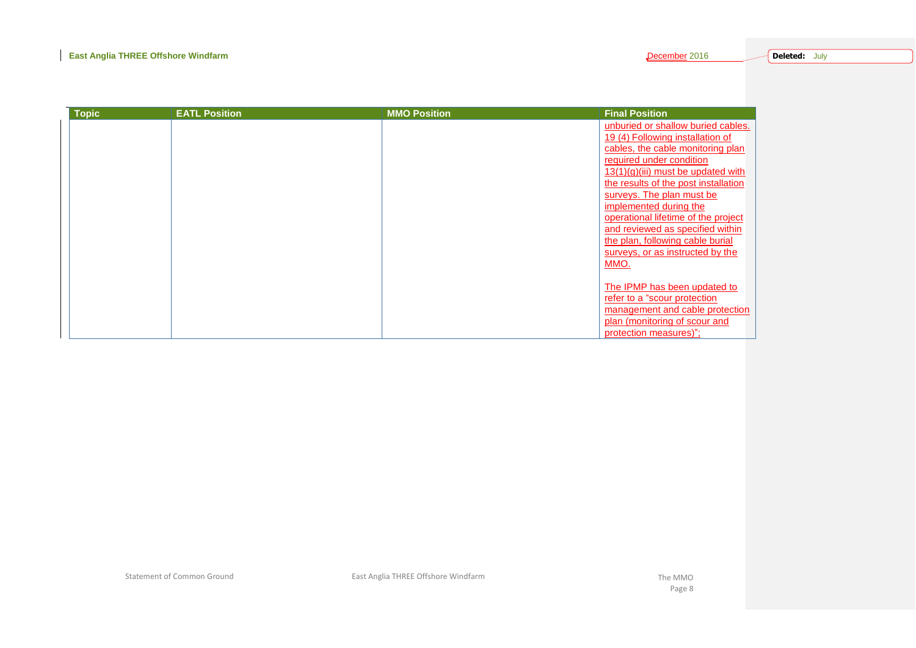| <b>Topic</b> | <b>EATL Position</b> | <b>MMO Position</b> | <b>Final Position</b>                |
|--------------|----------------------|---------------------|--------------------------------------|
|              |                      |                     | unburied or shallow buried cables.   |
|              |                      |                     | 19 (4) Following installation of     |
|              |                      |                     | cables, the cable monitoring plan    |
|              |                      |                     | required under condition             |
|              |                      |                     | $13(1)(q)(iii)$ must be updated with |
|              |                      |                     | the results of the post installation |
|              |                      |                     | surveys. The plan must be            |
|              |                      |                     | implemented during the               |
|              |                      |                     | operational lifetime of the project  |
|              |                      |                     | and reviewed as specified within     |
|              |                      |                     | the plan, following cable burial     |
|              |                      |                     | surveys, or as instructed by the     |
|              |                      |                     | MMO.                                 |
|              |                      |                     |                                      |
|              |                      |                     | The IPMP has been updated to         |
|              |                      |                     | refer to a "scour protection"        |
|              |                      |                     | management and cable protection      |
|              |                      |                     | plan (monitoring of scour and        |
|              |                      |                     | protection measures)":               |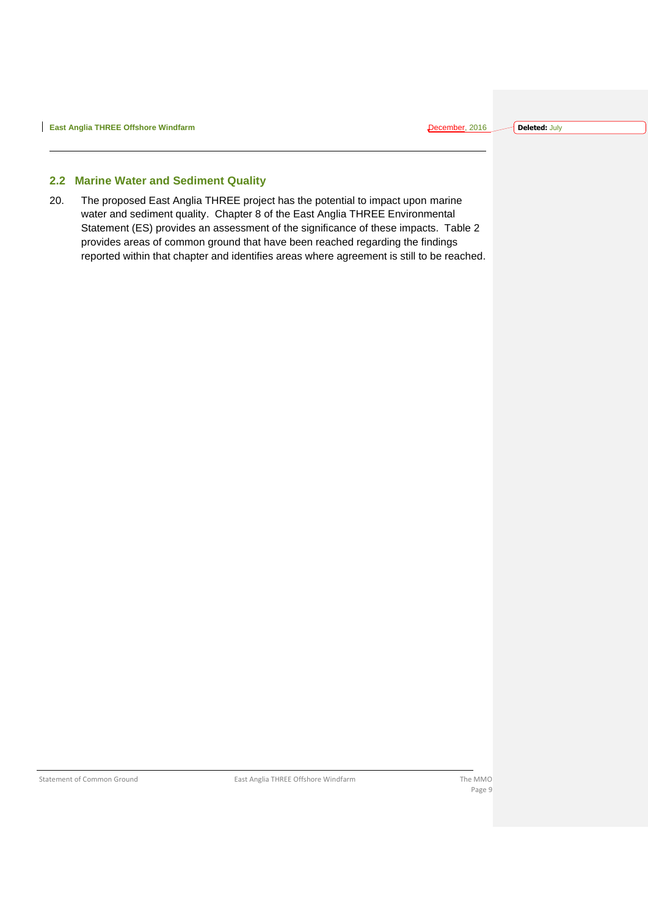#### <span id="page-9-0"></span>**2.2 Marine Water and Sediment Quality**

20. The proposed East Anglia THREE project has the potential to impact upon marine water and sediment quality. Chapter 8 of the East Anglia THREE Environmental Statement (ES) provides an assessment of the significance of these impacts. Table 2 provides areas of common ground that have been reached regarding the findings reported within that chapter and identifies areas where agreement is still to be reached.

Statement of Common Ground **East Anglia THREE Offshore Windfarm** The MMO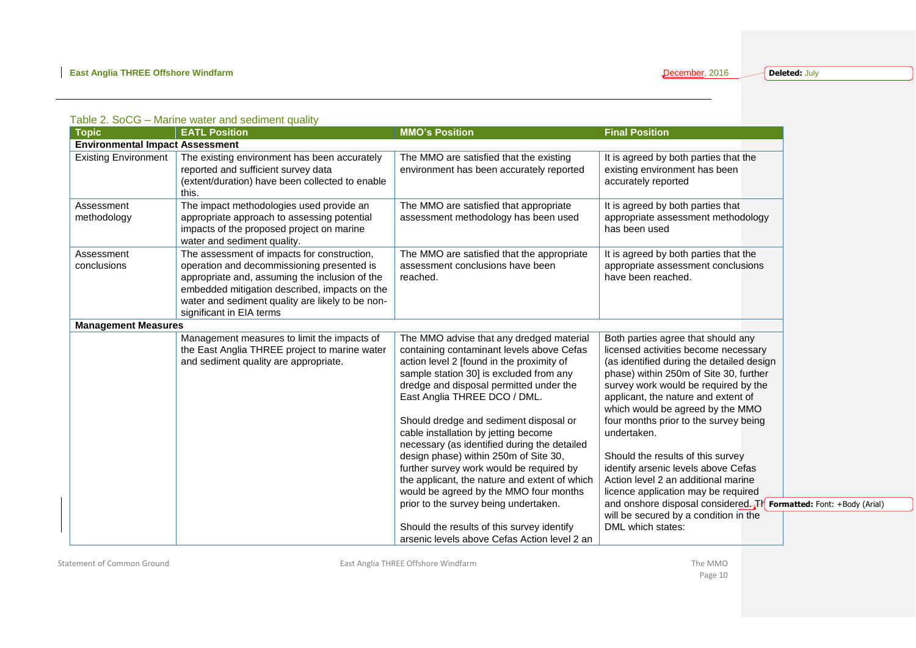|                                        | <b>Fable 2. SoCG – Marine water and sediment quality</b>                                                                                                                                                                                                                     |                                                                                                                                                                                                                                                                                                                |                                                                                                                                                                                                                                                                                      |
|----------------------------------------|------------------------------------------------------------------------------------------------------------------------------------------------------------------------------------------------------------------------------------------------------------------------------|----------------------------------------------------------------------------------------------------------------------------------------------------------------------------------------------------------------------------------------------------------------------------------------------------------------|--------------------------------------------------------------------------------------------------------------------------------------------------------------------------------------------------------------------------------------------------------------------------------------|
| <b>Topic</b>                           | <b>EATL Position</b>                                                                                                                                                                                                                                                         | <b>MMO's Position</b>                                                                                                                                                                                                                                                                                          | <b>Final Position</b>                                                                                                                                                                                                                                                                |
| <b>Environmental Impact Assessment</b> |                                                                                                                                                                                                                                                                              |                                                                                                                                                                                                                                                                                                                |                                                                                                                                                                                                                                                                                      |
| <b>Existing Environment</b>            | The existing environment has been accurately<br>reported and sufficient survey data<br>(extent/duration) have been collected to enable<br>this.                                                                                                                              | The MMO are satisfied that the existing<br>environment has been accurately reported                                                                                                                                                                                                                            | It is agreed by both parties that the<br>existing environment has been<br>accurately reported                                                                                                                                                                                        |
| Assessment<br>methodology              | The impact methodologies used provide an<br>appropriate approach to assessing potential<br>impacts of the proposed project on marine<br>water and sediment quality.                                                                                                          | The MMO are satisfied that appropriate<br>assessment methodology has been used                                                                                                                                                                                                                                 | It is agreed by both parties that<br>appropriate assessment methodology<br>has been used                                                                                                                                                                                             |
| Assessment<br>conclusions              | The assessment of impacts for construction,<br>operation and decommissioning presented is<br>appropriate and, assuming the inclusion of the<br>embedded mitigation described, impacts on the<br>water and sediment quality are likely to be non-<br>significant in EIA terms | The MMO are satisfied that the appropriate<br>assessment conclusions have been<br>reached.                                                                                                                                                                                                                     | It is agreed by both parties that the<br>appropriate assessment conclusions<br>have been reached.                                                                                                                                                                                    |
| <b>Management Measures</b>             |                                                                                                                                                                                                                                                                              |                                                                                                                                                                                                                                                                                                                |                                                                                                                                                                                                                                                                                      |
|                                        | Management measures to limit the impacts of<br>the East Anglia THREE project to marine water<br>and sediment quality are appropriate.                                                                                                                                        | The MMO advise that any dredged material<br>containing contaminant levels above Cefas<br>action level 2 [found in the proximity of<br>sample station 30] is excluded from any<br>dredge and disposal permitted under the<br>East Anglia THREE DCO / DML.                                                       | Both parties agree that should any<br>licensed activities become necessary<br>(as identified during the detailed design<br>phase) within 250m of Site 30, further<br>survey work would be required by the<br>applicant, the nature and extent of<br>which would be agreed by the MMO |
|                                        |                                                                                                                                                                                                                                                                              | Should dredge and sediment disposal or<br>cable installation by jetting become<br>necessary (as identified during the detailed<br>design phase) within 250m of Site 30,<br>further survey work would be required by<br>the applicant, the nature and extent of which<br>would be agreed by the MMO four months | four months prior to the survey being<br>undertaken.<br>Should the results of this survey<br>identify arsenic levels above Cefas<br>Action level 2 an additional marine<br>licence application may be required                                                                       |
|                                        |                                                                                                                                                                                                                                                                              | prior to the survey being undertaken.                                                                                                                                                                                                                                                                          | and onshore disposal considered. The Formatted: Font: +Body (Arial)                                                                                                                                                                                                                  |
|                                        |                                                                                                                                                                                                                                                                              | Should the results of this survey identify<br>arsenic levels above Cefas Action level 2 an                                                                                                                                                                                                                     | will be secured by a condition in the<br>DML which states:                                                                                                                                                                                                                           |

Statement of Common Ground The MMO East Anglia THREE Offshore Windfarm The MMO East Anglia THREE Offshore Windfarm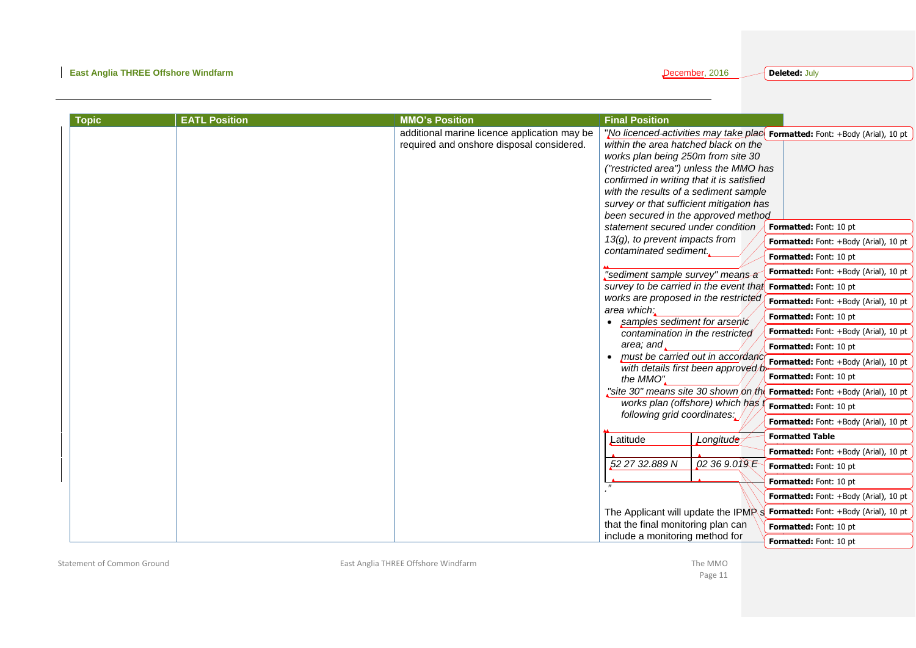| <b>Topic</b> | <b>EATL Position</b> | <b>MMO's Position</b>                        | <b>Final Position</b>                                                                                                               |
|--------------|----------------------|----------------------------------------------|-------------------------------------------------------------------------------------------------------------------------------------|
|              |                      | additional marine licence application may be | "No licenced-activities may take plac Formatted: Font: +Body (Arial), 10 pt                                                         |
|              |                      | required and onshore disposal considered.    | within the area hatched black on the                                                                                                |
|              |                      |                                              | works plan being 250m from site 30                                                                                                  |
|              |                      |                                              | ("restricted area") unless the MMO has                                                                                              |
|              |                      |                                              | confirmed in writing that it is satisfied                                                                                           |
|              |                      |                                              | with the results of a sediment sample                                                                                               |
|              |                      |                                              | survey or that sufficient mitigation has                                                                                            |
|              |                      |                                              | been secured in the approved method<br>Formatted: Font: 10 pt<br>statement secured under condition                                  |
|              |                      |                                              | 13(g), to prevent impacts from                                                                                                      |
|              |                      |                                              | Formatted: Font: +Body (Arial), 10 pt<br>contaminated sediment,                                                                     |
|              |                      |                                              | Formatted: Font: 10 pt                                                                                                              |
|              |                      |                                              | Formatted: Font: +Body (Arial), 10 pt<br>sediment sample survey" means a                                                            |
|              |                      |                                              | survey to be carried in the event that Formatted: Font: 10 pt                                                                       |
|              |                      |                                              | works are proposed in the restricted<br>Formatted: Font: +Body (Arial), 10 pt<br>area which:                                        |
|              |                      |                                              | Formatted: Font: 10 pt<br>• samples sediment for arsenic                                                                            |
|              |                      |                                              | Formatted: Font: +Body (Arial), 10 pt<br>contamination in the restricted                                                            |
|              |                      |                                              | area; and<br>Formatted: Font: 10 pt                                                                                                 |
|              |                      |                                              | · must be carried out in accordance<br>Formatted: Font: +Body (Arial), 10 pt<br>with details first been approved $b_{\overline{r}}$ |
|              |                      |                                              | Formatted: Font: 10 pt<br>the MMO".                                                                                                 |
|              |                      |                                              | site 30" means site 30 shown on the Formatted: Font: +Body (Arial), 10 pt                                                           |
|              |                      |                                              | works plan (offshore) which has <b>Formatted:</b> Font: 10 pt                                                                       |
|              |                      |                                              | following grid coordinates:<br>Formatted: Font: +Body (Arial), 10 pt                                                                |
|              |                      |                                              | <b>Formatted Table</b><br>Latitude<br>Longitude                                                                                     |
|              |                      |                                              | Formatted: Font: +Body (Arial), 10 pt                                                                                               |
|              |                      |                                              | 52 27 32.889 N<br>02 36 9.019 E<br>Formatted: Font: 10 pt                                                                           |
|              |                      |                                              | Formatted: Font: 10 pt                                                                                                              |
|              |                      |                                              | <b>Formatted:</b> Font: +Body (Arial), 10 pt                                                                                        |
|              |                      |                                              | The Applicant will update the IPMP & Formatted: Font: +Body (Arial), 10 pt                                                          |
|              |                      |                                              | that the final monitoring plan can<br>Formatted: Font: 10 pt                                                                        |
|              |                      |                                              | include a monitoring method for<br><b>Formatted:</b> Font: 10 pt                                                                    |

Statement of Common Ground The MMO East Anglia THREE Offshore Windfarm The MMO East Anglia THREE Offshore Windfarm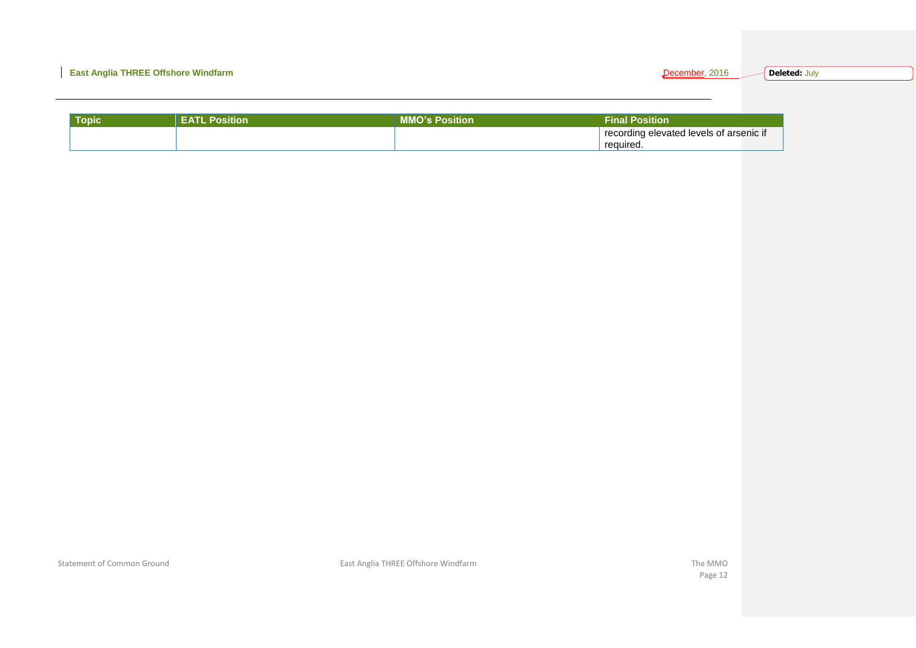| ∕Topic | <b>Position</b> | <b>MMO's Position</b> | <b>Final Position</b>                   |
|--------|-----------------|-----------------------|-----------------------------------------|
|        |                 |                       | recording elevated levels of arsenic if |
|        |                 |                       | ' required.                             |

Statement of Common Ground The MMO East Anglia THREE Offshore Windfarm The MMO East Anglia THREE Offshore Windfarm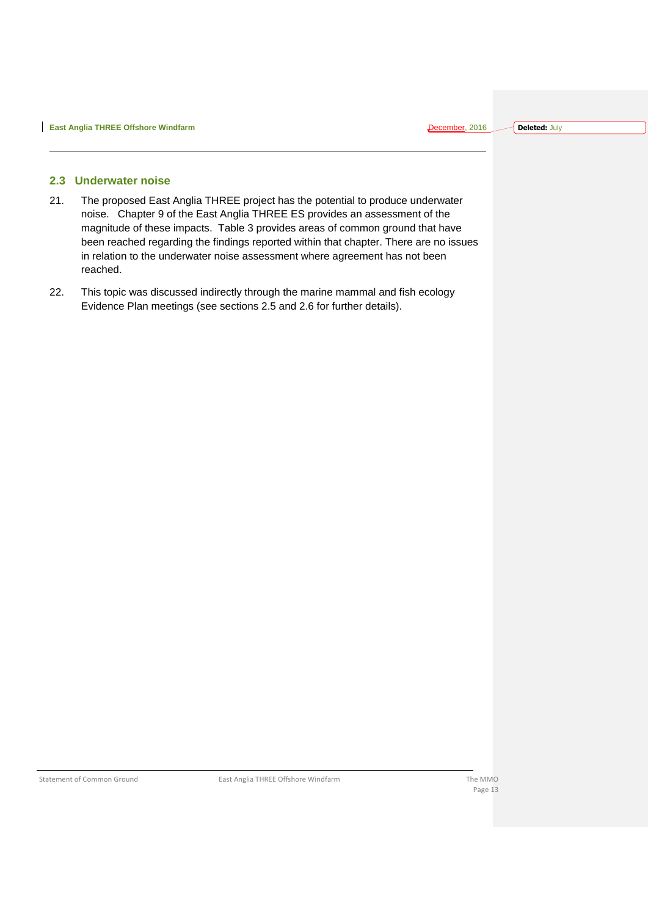#### <span id="page-13-0"></span>**2.3 Underwater noise**

- 21. The proposed East Anglia THREE project has the potential to produce underwater noise. Chapter 9 of the East Anglia THREE ES provides an assessment of the magnitude of these impacts. Table 3 provides areas of common ground that have been reached regarding the findings reported within that chapter. There are no issues in relation to the underwater noise assessment where agreement has not been reached.
- 22. This topic was discussed indirectly through the marine mammal and fish ecology Evidence Plan meetings (see sections 2.5 and 2.6 for further details).

Statement of Common Ground **East Anglia THREE Offshore Windfarm** The MMO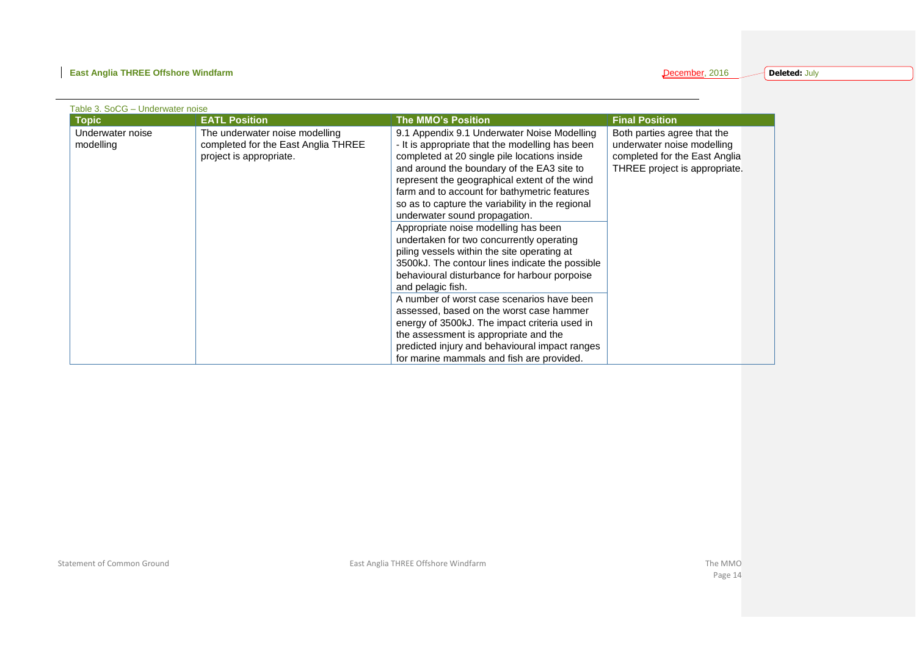| Table 3. SoCG - Underwater noise |                                                                                                  |                                                                                                                                                                                                                                                                                                                                                                                                                                                                                                                                                                                                                                                                                                                                                                                                                                                                                                                                   |                                                                                                                             |
|----------------------------------|--------------------------------------------------------------------------------------------------|-----------------------------------------------------------------------------------------------------------------------------------------------------------------------------------------------------------------------------------------------------------------------------------------------------------------------------------------------------------------------------------------------------------------------------------------------------------------------------------------------------------------------------------------------------------------------------------------------------------------------------------------------------------------------------------------------------------------------------------------------------------------------------------------------------------------------------------------------------------------------------------------------------------------------------------|-----------------------------------------------------------------------------------------------------------------------------|
| <b>Topic</b>                     | <b>EATL Position</b>                                                                             | <b>The MMO's Position</b>                                                                                                                                                                                                                                                                                                                                                                                                                                                                                                                                                                                                                                                                                                                                                                                                                                                                                                         | <b>Final Position</b>                                                                                                       |
| Underwater noise<br>modelling    | The underwater noise modelling<br>completed for the East Anglia THREE<br>project is appropriate. | 9.1 Appendix 9.1 Underwater Noise Modelling<br>- It is appropriate that the modelling has been<br>completed at 20 single pile locations inside<br>and around the boundary of the EA3 site to<br>represent the geographical extent of the wind<br>farm and to account for bathymetric features<br>so as to capture the variability in the regional<br>underwater sound propagation.<br>Appropriate noise modelling has been<br>undertaken for two concurrently operating<br>piling vessels within the site operating at<br>3500kJ. The contour lines indicate the possible<br>behavioural disturbance for harbour porpoise<br>and pelagic fish.<br>A number of worst case scenarios have been<br>assessed, based on the worst case hammer<br>energy of 3500kJ. The impact criteria used in<br>the assessment is appropriate and the<br>predicted injury and behavioural impact ranges<br>for marine mammals and fish are provided. | Both parties agree that the<br>underwater noise modelling<br>completed for the East Anglia<br>THREE project is appropriate. |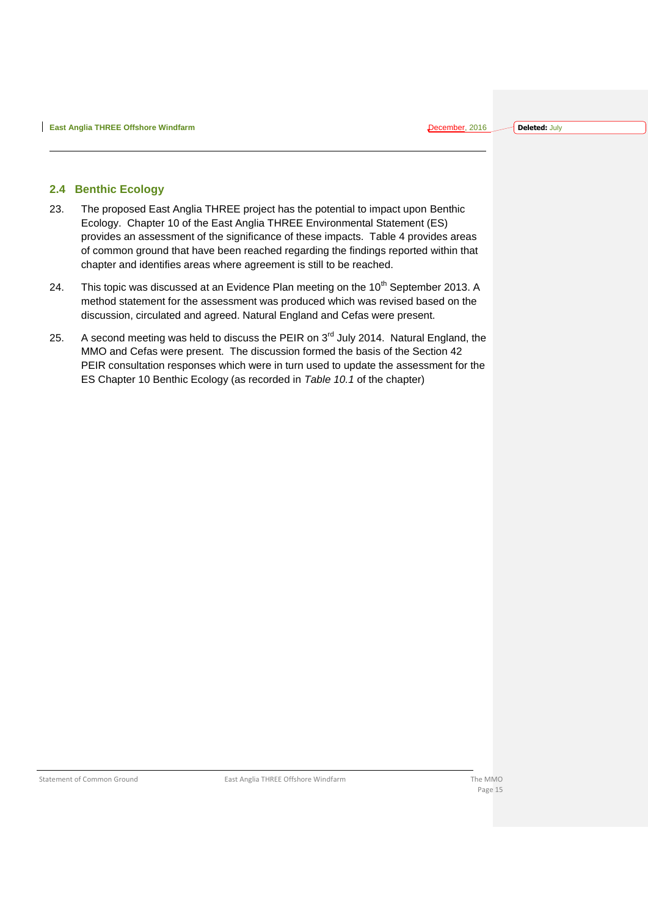#### <span id="page-15-0"></span>**2.4 Benthic Ecology**

- 23. The proposed East Anglia THREE project has the potential to impact upon Benthic Ecology. Chapter 10 of the East Anglia THREE Environmental Statement (ES) provides an assessment of the significance of these impacts. Table 4 provides areas of common ground that have been reached regarding the findings reported within that chapter and identifies areas where agreement is still to be reached.
- 24. This topic was discussed at an Evidence Plan meeting on the  $10<sup>th</sup>$  September 2013. A method statement for the assessment was produced which was revised based on the discussion, circulated and agreed. Natural England and Cefas were present.
- 25. A second meeting was held to discuss the PEIR on 3<sup>rd</sup> July 2014. Natural England, the MMO and Cefas were present. The discussion formed the basis of the Section 42 PEIR consultation responses which were in turn used to update the assessment for the ES Chapter 10 Benthic Ecology (as recorded in *Table 10.1* of the chapter)

Statement of Common Ground **East Anglia THREE Offshore Windfarm** The MMO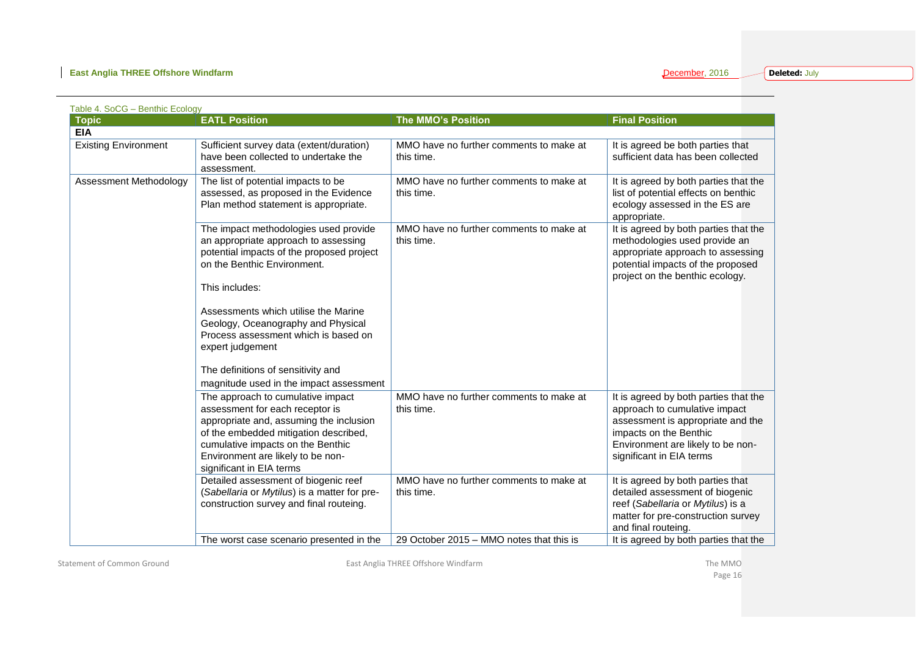| <b>Topic</b>                | <b>EATL Position</b>                                                                                                                                                                                                                                           | The MMO's Position                                    | <b>Final Position</b>                                                                                                                                                                                  |
|-----------------------------|----------------------------------------------------------------------------------------------------------------------------------------------------------------------------------------------------------------------------------------------------------------|-------------------------------------------------------|--------------------------------------------------------------------------------------------------------------------------------------------------------------------------------------------------------|
| <b>EIA</b>                  |                                                                                                                                                                                                                                                                |                                                       |                                                                                                                                                                                                        |
| <b>Existing Environment</b> | Sufficient survey data (extent/duration)<br>have been collected to undertake the<br>assessment.                                                                                                                                                                | MMO have no further comments to make at<br>this time. | It is agreed be both parties that<br>sufficient data has been collected                                                                                                                                |
| Assessment Methodology      | The list of potential impacts to be<br>assessed, as proposed in the Evidence<br>Plan method statement is appropriate.                                                                                                                                          | MMO have no further comments to make at<br>this time. | It is agreed by both parties that the<br>list of potential effects on benthic<br>ecology assessed in the ES are<br>appropriate.                                                                        |
|                             | The impact methodologies used provide<br>an appropriate approach to assessing<br>potential impacts of the proposed project<br>on the Benthic Environment.<br>This includes:                                                                                    | MMO have no further comments to make at<br>this time. | It is agreed by both parties that the<br>methodologies used provide an<br>appropriate approach to assessing<br>potential impacts of the proposed<br>project on the benthic ecology.                    |
|                             | Assessments which utilise the Marine<br>Geology, Oceanography and Physical<br>Process assessment which is based on<br>expert judgement                                                                                                                         |                                                       |                                                                                                                                                                                                        |
|                             | The definitions of sensitivity and<br>magnitude used in the impact assessment                                                                                                                                                                                  |                                                       |                                                                                                                                                                                                        |
|                             | The approach to cumulative impact<br>assessment for each receptor is<br>appropriate and, assuming the inclusion<br>of the embedded mitigation described,<br>cumulative impacts on the Benthic<br>Environment are likely to be non-<br>significant in EIA terms | MMO have no further comments to make at<br>this time. | It is agreed by both parties that the<br>approach to cumulative impact<br>assessment is appropriate and the<br>impacts on the Benthic<br>Environment are likely to be non-<br>significant in EIA terms |
|                             | Detailed assessment of biogenic reef<br>(Sabellaria or Mytilus) is a matter for pre-<br>construction survey and final routeing.                                                                                                                                | MMO have no further comments to make at<br>this time. | It is agreed by both parties that<br>detailed assessment of biogenic<br>reef (Sabellaria or Mytilus) is a<br>matter for pre-construction survey<br>and final routeing.                                 |
|                             | The worst case scenario presented in the                                                                                                                                                                                                                       | 29 October 2015 - MMO notes that this is              | It is agreed by both parties that the                                                                                                                                                                  |

Statement of Common Ground The MMO East Anglia THREE Offshore Windfarm The MMO East Anglia THREE Offshore Windfarm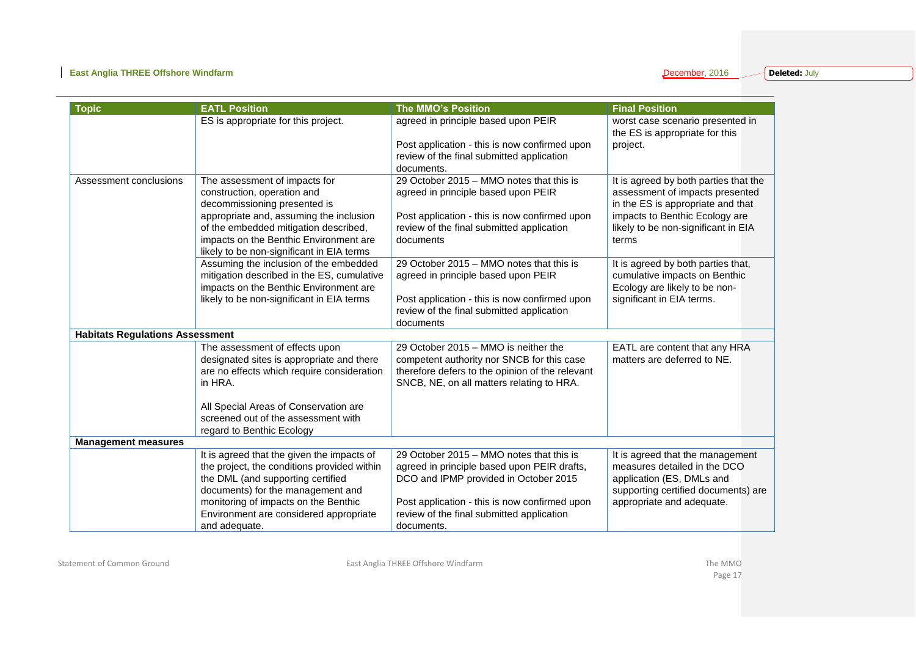#### **East Anglia THREE Offshore Windfarm December, 2016**

**Deleted:** July

| <b>Topic</b>                           | <b>EATL Position</b>                                                                                                                                                                                                                                                    | <b>The MMO's Position</b>                                                                                                                                                                  | <b>Final Position</b>                                                                                                                                                                           |
|----------------------------------------|-------------------------------------------------------------------------------------------------------------------------------------------------------------------------------------------------------------------------------------------------------------------------|--------------------------------------------------------------------------------------------------------------------------------------------------------------------------------------------|-------------------------------------------------------------------------------------------------------------------------------------------------------------------------------------------------|
|                                        | ES is appropriate for this project.                                                                                                                                                                                                                                     | agreed in principle based upon PEIR<br>Post application - this is now confirmed upon<br>review of the final submitted application<br>documents.                                            | worst case scenario presented in<br>the ES is appropriate for this<br>project.                                                                                                                  |
| Assessment conclusions                 | The assessment of impacts for<br>construction, operation and<br>decommissioning presented is<br>appropriate and, assuming the inclusion<br>of the embedded mitigation described,<br>impacts on the Benthic Environment are<br>likely to be non-significant in EIA terms | 29 October 2015 - MMO notes that this is<br>agreed in principle based upon PEIR<br>Post application - this is now confirmed upon<br>review of the final submitted application<br>documents | It is agreed by both parties that the<br>assessment of impacts presented<br>in the ES is appropriate and that<br>impacts to Benthic Ecology are<br>likely to be non-significant in EIA<br>terms |
|                                        | Assuming the inclusion of the embedded<br>mitigation described in the ES, cumulative<br>impacts on the Benthic Environment are<br>likely to be non-significant in EIA terms                                                                                             | 29 October 2015 - MMO notes that this is<br>agreed in principle based upon PEIR<br>Post application - this is now confirmed upon<br>review of the final submitted application<br>documents | It is agreed by both parties that,<br>cumulative impacts on Benthic<br>Ecology are likely to be non-<br>significant in EIA terms.                                                               |
| <b>Habitats Regulations Assessment</b> |                                                                                                                                                                                                                                                                         |                                                                                                                                                                                            |                                                                                                                                                                                                 |
|                                        | The assessment of effects upon<br>designated sites is appropriate and there<br>are no effects which require consideration<br>in HRA.                                                                                                                                    | 29 October 2015 – MMO is neither the<br>competent authority nor SNCB for this case<br>therefore defers to the opinion of the relevant<br>SNCB, NE, on all matters relating to HRA.         | EATL are content that any HRA<br>matters are deferred to NE.                                                                                                                                    |
|                                        | All Special Areas of Conservation are<br>screened out of the assessment with<br>regard to Benthic Ecology                                                                                                                                                               |                                                                                                                                                                                            |                                                                                                                                                                                                 |
| <b>Management measures</b>             |                                                                                                                                                                                                                                                                         |                                                                                                                                                                                            |                                                                                                                                                                                                 |
|                                        | It is agreed that the given the impacts of<br>the project, the conditions provided within<br>the DML (and supporting certified<br>documents) for the management and<br>monitoring of impacts on the Benthic                                                             | 29 October 2015 - MMO notes that this is<br>agreed in principle based upon PEIR drafts,<br>DCO and IPMP provided in October 2015<br>Post application - this is now confirmed upon          | It is agreed that the management<br>measures detailed in the DCO<br>application (ES, DMLs and<br>supporting certified documents) are<br>appropriate and adequate.                               |
|                                        | Environment are considered appropriate<br>and adequate.                                                                                                                                                                                                                 | review of the final submitted application<br>documents.                                                                                                                                    |                                                                                                                                                                                                 |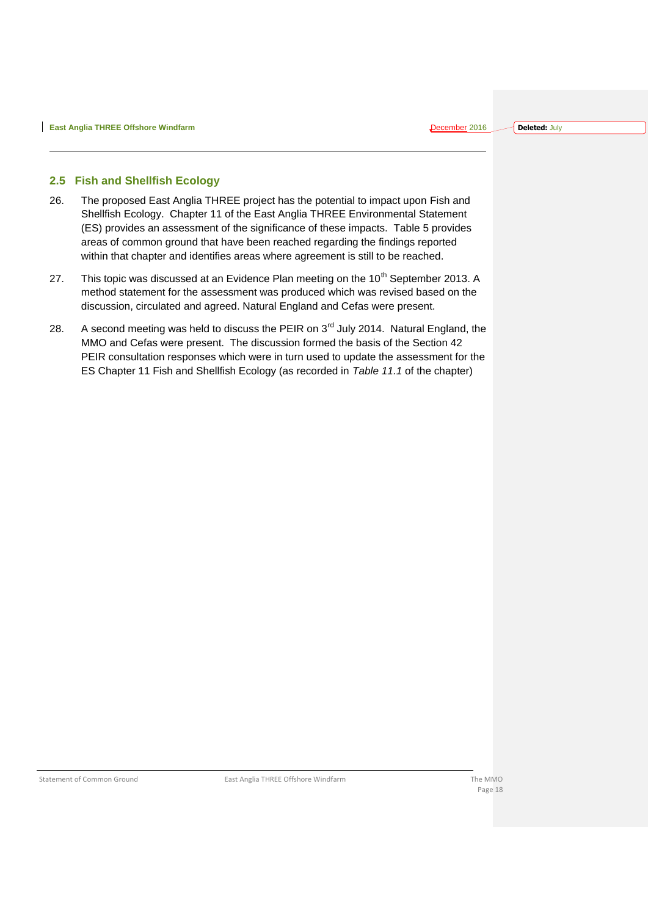#### <span id="page-18-0"></span>**2.5 Fish and Shellfish Ecology**

- 26. The proposed East Anglia THREE project has the potential to impact upon Fish and Shellfish Ecology. Chapter 11 of the East Anglia THREE Environmental Statement (ES) provides an assessment of the significance of these impacts. Table 5 provides areas of common ground that have been reached regarding the findings reported within that chapter and identifies areas where agreement is still to be reached.
- 27. This topic was discussed at an Evidence Plan meeting on the  $10<sup>th</sup>$  September 2013. A method statement for the assessment was produced which was revised based on the discussion, circulated and agreed. Natural England and Cefas were present.
- 28. A second meeting was held to discuss the PEIR on 3<sup>rd</sup> July 2014. Natural England, the MMO and Cefas were present. The discussion formed the basis of the Section 42 PEIR consultation responses which were in turn used to update the assessment for the ES Chapter 11 Fish and Shellfish Ecology (as recorded in *Table 11.1* of the chapter)

Statement of Common Ground **East Anglia THREE Offshore Windfarm** The MMO

Page 18

**Deleted:** July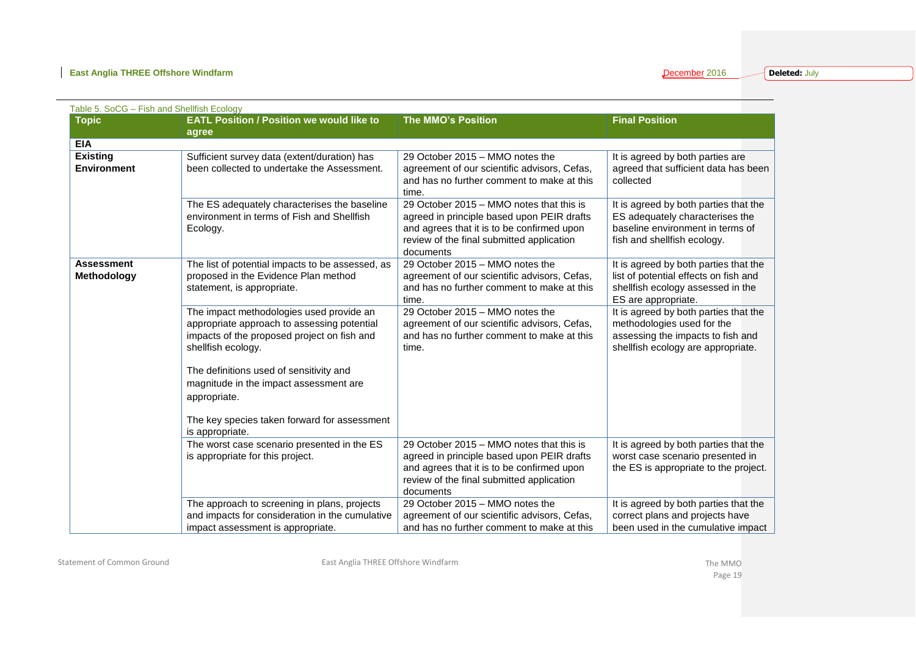| Table 5. SoCG - Fish and Shellfish Ecology |                                                                                                                                                                      |                                                                                                                                                                                                |                                                                                                                                                |
|--------------------------------------------|----------------------------------------------------------------------------------------------------------------------------------------------------------------------|------------------------------------------------------------------------------------------------------------------------------------------------------------------------------------------------|------------------------------------------------------------------------------------------------------------------------------------------------|
| <b>Topic</b>                               | <b>EATL Position / Position we would like to</b>                                                                                                                     | <b>The MMO's Position</b>                                                                                                                                                                      | <b>Final Position</b>                                                                                                                          |
|                                            | agree                                                                                                                                                                |                                                                                                                                                                                                |                                                                                                                                                |
| <b>EIA</b>                                 |                                                                                                                                                                      |                                                                                                                                                                                                |                                                                                                                                                |
| <b>Existing</b><br><b>Environment</b>      | Sufficient survey data (extent/duration) has<br>been collected to undertake the Assessment.                                                                          | 29 October 2015 - MMO notes the<br>agreement of our scientific advisors, Cefas,<br>and has no further comment to make at this<br>time.                                                         | It is agreed by both parties are<br>agreed that sufficient data has been<br>collected                                                          |
|                                            | The ES adequately characterises the baseline<br>environment in terms of Fish and Shellfish<br>Ecology.                                                               | 29 October 2015 – MMO notes that this is<br>agreed in principle based upon PEIR drafts<br>and agrees that it is to be confirmed upon<br>review of the final submitted application<br>documents | It is agreed by both parties that the<br>ES adequately characterises the<br>baseline environment in terms of<br>fish and shellfish ecology.    |
| <b>Assessment</b><br><b>Methodology</b>    | The list of potential impacts to be assessed, as<br>proposed in the Evidence Plan method<br>statement, is appropriate.                                               | 29 October 2015 - MMO notes the<br>agreement of our scientific advisors, Cefas,<br>and has no further comment to make at this<br>time.                                                         | It is agreed by both parties that the<br>list of potential effects on fish and<br>shellfish ecology assessed in the<br>ES are appropriate.     |
|                                            | The impact methodologies used provide an<br>appropriate approach to assessing potential<br>impacts of the proposed project on fish and<br>shellfish ecology.         | 29 October 2015 - MMO notes the<br>agreement of our scientific advisors, Cefas,<br>and has no further comment to make at this<br>time.                                                         | It is agreed by both parties that the<br>methodologies used for the<br>assessing the impacts to fish and<br>shellfish ecology are appropriate. |
|                                            | The definitions used of sensitivity and<br>magnitude in the impact assessment are<br>appropriate.<br>The key species taken forward for assessment<br>is appropriate. |                                                                                                                                                                                                |                                                                                                                                                |
|                                            | The worst case scenario presented in the ES<br>is appropriate for this project.                                                                                      | 29 October 2015 – MMO notes that this is<br>agreed in principle based upon PEIR drafts<br>and agrees that it is to be confirmed upon<br>review of the final submitted application<br>documents | It is agreed by both parties that the<br>worst case scenario presented in<br>the ES is appropriate to the project.                             |
|                                            | The approach to screening in plans, projects<br>and impacts for consideration in the cumulative<br>impact assessment is appropriate.                                 | 29 October 2015 - MMO notes the<br>agreement of our scientific advisors, Cefas,<br>and has no further comment to make at this                                                                  | It is agreed by both parties that the<br>correct plans and projects have<br>been used in the cumulative impact                                 |

Statement of Common Ground The MMO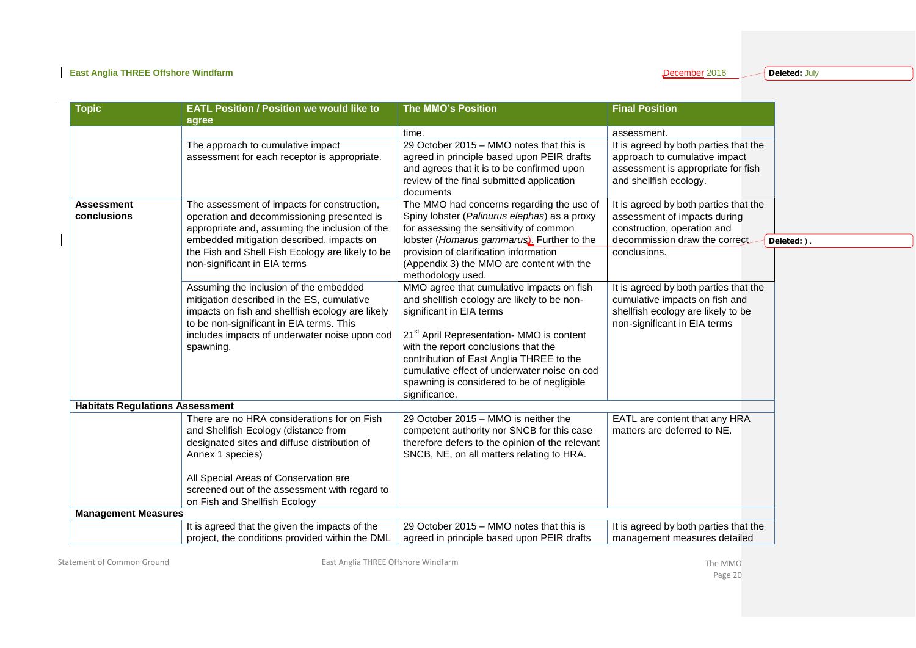| <b>Topic</b>                           | <b>EATL Position / Position we would like to</b> | The MMO's Position                                    | <b>Final Position</b>                         |
|----------------------------------------|--------------------------------------------------|-------------------------------------------------------|-----------------------------------------------|
|                                        | agree                                            |                                                       |                                               |
|                                        |                                                  | time.                                                 | assessment.                                   |
|                                        | The approach to cumulative impact                | 29 October 2015 - MMO notes that this is              | It is agreed by both parties that the         |
|                                        | assessment for each receptor is appropriate.     | agreed in principle based upon PEIR drafts            | approach to cumulative impact                 |
|                                        |                                                  | and agrees that it is to be confirmed upon            | assessment is appropriate for fish            |
|                                        |                                                  | review of the final submitted application             | and shellfish ecology.                        |
|                                        |                                                  | documents                                             |                                               |
| <b>Assessment</b>                      | The assessment of impacts for construction,      | The MMO had concerns regarding the use of             | It is agreed by both parties that the         |
| conclusions                            | operation and decommissioning presented is       | Spiny lobster (Palinurus elephas) as a proxy          | assessment of impacts during                  |
|                                        | appropriate and, assuming the inclusion of the   | for assessing the sensitivity of common               | construction, operation and                   |
|                                        | embedded mitigation described, impacts on        | lobster (Homarus gammarus). Further to the            | decommission draw the correct.<br>Deleted: ). |
|                                        | the Fish and Shell Fish Ecology are likely to be | provision of clarification information                | conclusions.                                  |
|                                        | non-significant in EIA terms                     | (Appendix 3) the MMO are content with the             |                                               |
|                                        |                                                  | methodology used.                                     |                                               |
|                                        | Assuming the inclusion of the embedded           | MMO agree that cumulative impacts on fish             | It is agreed by both parties that the         |
|                                        | mitigation described in the ES, cumulative       | and shellfish ecology are likely to be non-           | cumulative impacts on fish and                |
|                                        | impacts on fish and shellfish ecology are likely | significant in EIA terms                              | shellfish ecology are likely to be            |
|                                        | to be non-significant in EIA terms. This         |                                                       | non-significant in EIA terms                  |
|                                        | includes impacts of underwater noise upon cod    | 21 <sup>st</sup> April Representation- MMO is content |                                               |
|                                        | spawning.                                        | with the report conclusions that the                  |                                               |
|                                        |                                                  | contribution of East Anglia THREE to the              |                                               |
|                                        |                                                  | cumulative effect of underwater noise on cod          |                                               |
|                                        |                                                  | spawning is considered to be of negligible            |                                               |
| <b>Habitats Regulations Assessment</b> |                                                  | significance.                                         |                                               |
|                                        | There are no HRA considerations for on Fish      | 29 October 2015 - MMO is neither the                  | EATL are content that any HRA                 |
|                                        | and Shellfish Ecology (distance from             | competent authority nor SNCB for this case            | matters are deferred to NE.                   |
|                                        | designated sites and diffuse distribution of     | therefore defers to the opinion of the relevant       |                                               |
|                                        | Annex 1 species)                                 | SNCB, NE, on all matters relating to HRA.             |                                               |
|                                        |                                                  |                                                       |                                               |
|                                        | All Special Areas of Conservation are            |                                                       |                                               |
|                                        | screened out of the assessment with regard to    |                                                       |                                               |
|                                        | on Fish and Shellfish Ecology                    |                                                       |                                               |
| <b>Management Measures</b>             |                                                  |                                                       |                                               |
|                                        | It is agreed that the given the impacts of the   | 29 October 2015 – MMO notes that this is              | It is agreed by both parties that the         |
|                                        | project, the conditions provided within the DML  | agreed in principle based upon PEIR drafts            | management measures detailed                  |

Statement of Common Ground The MMO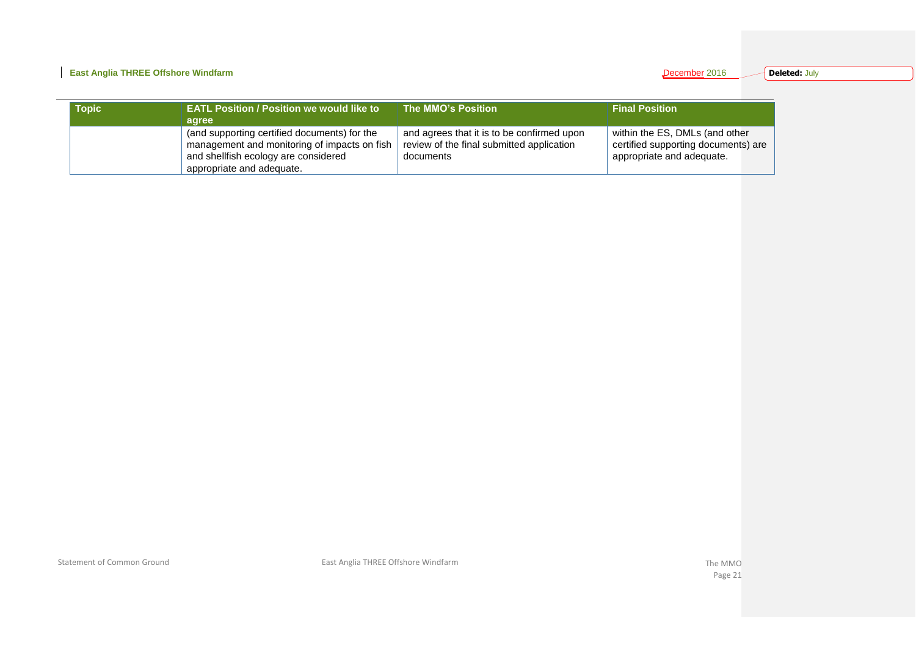#### **East Anglia THREE Offshore Windfarm** December 2016

| <b>Topic</b> | <b>EATL Position / Position we would like to</b> | The MMO's Position                         | <b>Final Position</b>               |
|--------------|--------------------------------------------------|--------------------------------------------|-------------------------------------|
|              | agree                                            |                                            |                                     |
|              | (and supporting certified documents) for the     | and agrees that it is to be confirmed upon | within the ES, DMLs (and other      |
|              | management and monitoring of impacts on fish     | review of the final submitted application  | certified supporting documents) are |
|              | and shellfish ecology are considered             | documents                                  | appropriate and adequate.           |
|              | appropriate and adequate.                        |                                            |                                     |

Statement of Common Ground The MMO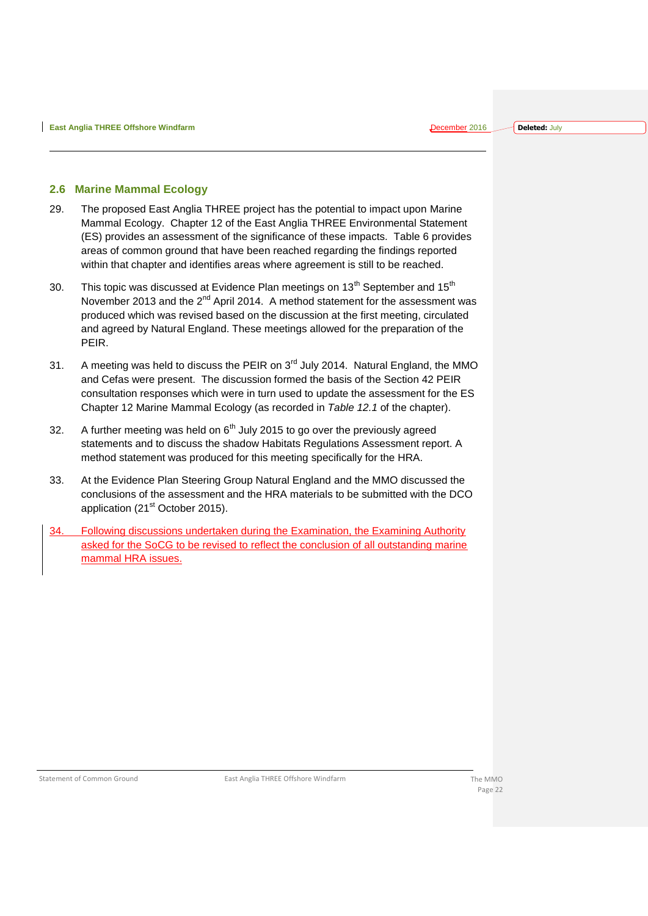#### <span id="page-22-0"></span>**2.6 Marine Mammal Ecology**

- 29. The proposed East Anglia THREE project has the potential to impact upon Marine Mammal Ecology. Chapter 12 of the East Anglia THREE Environmental Statement (ES) provides an assessment of the significance of these impacts. Table 6 provides areas of common ground that have been reached regarding the findings reported within that chapter and identifies areas where agreement is still to be reached.
- 30. This topic was discussed at Evidence Plan meetings on  $13<sup>th</sup>$  September and  $15<sup>th</sup>$ November 2013 and the  $2^{nd}$  April 2014. A method statement for the assessment was produced which was revised based on the discussion at the first meeting, circulated and agreed by Natural England. These meetings allowed for the preparation of the PEIR.
- 31. A meeting was held to discuss the PEIR on  $3<sup>rd</sup>$  July 2014. Natural England, the MMO and Cefas were present. The discussion formed the basis of the Section 42 PEIR consultation responses which were in turn used to update the assessment for the ES Chapter 12 Marine Mammal Ecology (as recorded in *Table 12.1* of the chapter).
- 32. A further meeting was held on  $6<sup>th</sup>$  July 2015 to go over the previously agreed statements and to discuss the shadow Habitats Regulations Assessment report. A method statement was produced for this meeting specifically for the HRA.
- 33. At the Evidence Plan Steering Group Natural England and the MMO discussed the conclusions of the assessment and the HRA materials to be submitted with the DCO application (21<sup>st</sup> October 2015).
- 34. Following discussions undertaken during the Examination, the Examining Authority asked for the SoCG to be revised to reflect the conclusion of all outstanding marine mammal HRA issues.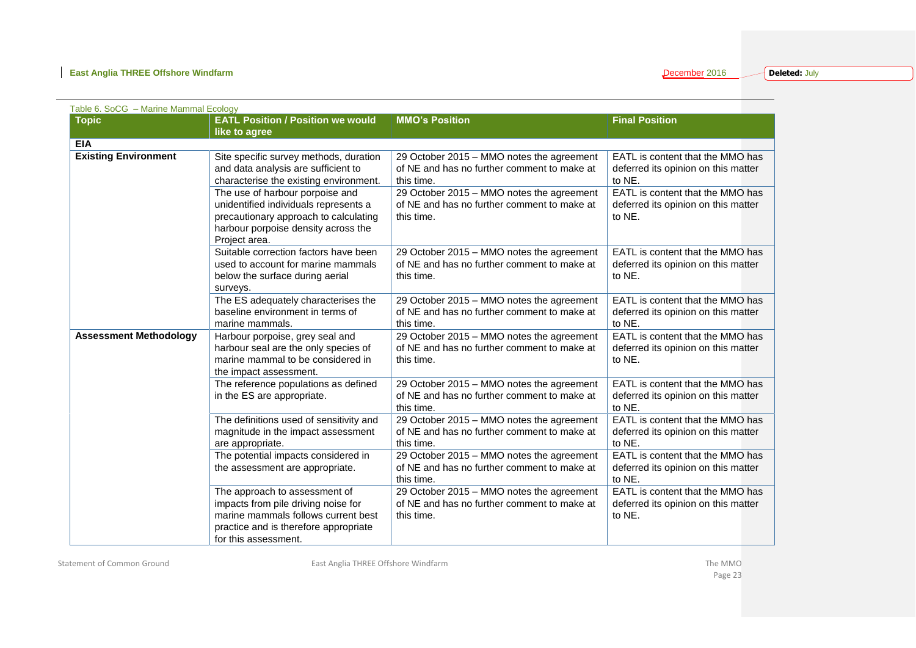| <b>Topic</b>                  | <b>EATL Position / Position we would</b>                                                                                                                                     | <b>MMO's Position</b>                                                                                                                               | <b>Final Position</b>                                                                                                 |
|-------------------------------|------------------------------------------------------------------------------------------------------------------------------------------------------------------------------|-----------------------------------------------------------------------------------------------------------------------------------------------------|-----------------------------------------------------------------------------------------------------------------------|
|                               | like to agree                                                                                                                                                                |                                                                                                                                                     |                                                                                                                       |
| <b>EIA</b>                    |                                                                                                                                                                              |                                                                                                                                                     |                                                                                                                       |
| <b>Existing Environment</b>   | Site specific survey methods, duration<br>and data analysis are sufficient to<br>characterise the existing environment.<br>The use of harbour porpoise and                   | 29 October 2015 - MMO notes the agreement<br>of NE and has no further comment to make at<br>this time.<br>29 October 2015 - MMO notes the agreement | EATL is content that the MMO has<br>deferred its opinion on this matter<br>to NE.<br>EATL is content that the MMO has |
|                               | unidentified individuals represents a<br>precautionary approach to calculating<br>harbour porpoise density across the<br>Project area.                                       | of NE and has no further comment to make at<br>this time.                                                                                           | deferred its opinion on this matter<br>to NE.                                                                         |
|                               | Suitable correction factors have been<br>used to account for marine mammals<br>below the surface during aerial<br>surveys.                                                   | 29 October 2015 - MMO notes the agreement<br>of NE and has no further comment to make at<br>this time.                                              | EATL is content that the MMO has<br>deferred its opinion on this matter<br>to NE.                                     |
|                               | The ES adequately characterises the<br>baseline environment in terms of<br>marine mammals.                                                                                   | 29 October 2015 - MMO notes the agreement<br>of NE and has no further comment to make at<br>this time.                                              | EATL is content that the MMO has<br>deferred its opinion on this matter<br>to NE.                                     |
| <b>Assessment Methodology</b> | Harbour porpoise, grey seal and<br>harbour seal are the only species of<br>marine mammal to be considered in<br>the impact assessment.                                       | 29 October 2015 - MMO notes the agreement<br>of NE and has no further comment to make at<br>this time.                                              | EATL is content that the MMO has<br>deferred its opinion on this matter<br>to NE.                                     |
|                               | The reference populations as defined<br>in the ES are appropriate.                                                                                                           | 29 October 2015 - MMO notes the agreement<br>of NE and has no further comment to make at<br>this time.                                              | EATL is content that the MMO has<br>deferred its opinion on this matter<br>to NE.                                     |
|                               | The definitions used of sensitivity and<br>magnitude in the impact assessment<br>are appropriate.                                                                            | 29 October 2015 - MMO notes the agreement<br>of NE and has no further comment to make at<br>this time.                                              | EATL is content that the MMO has<br>deferred its opinion on this matter<br>to NE.                                     |
|                               | The potential impacts considered in<br>the assessment are appropriate.                                                                                                       | 29 October 2015 - MMO notes the agreement<br>of NE and has no further comment to make at<br>this time.                                              | EATL is content that the MMO has<br>deferred its opinion on this matter<br>to NE.                                     |
|                               | The approach to assessment of<br>impacts from pile driving noise for<br>marine mammals follows current best<br>practice and is therefore appropriate<br>for this assessment. | 29 October 2015 - MMO notes the agreement<br>of NE and has no further comment to make at<br>this time.                                              | EATL is content that the MMO has<br>deferred its opinion on this matter<br>to NE.                                     |

Statement of Common Ground **East Anglia THREE Offshore Windfarm** The MMO Common Ground The MMO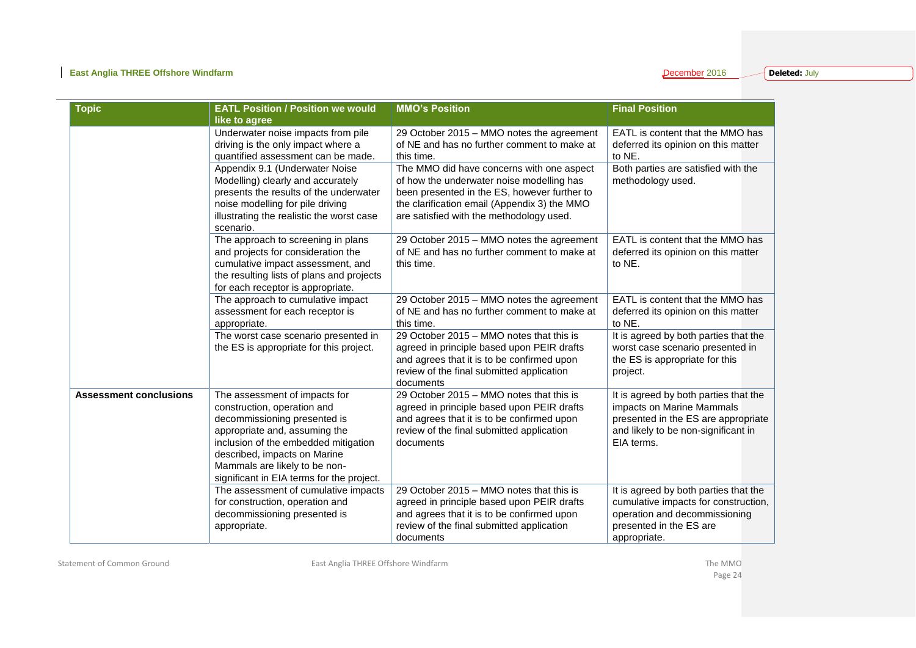| <b>Topic</b>                  | <b>EATL Position / Position we would</b><br>like to agree                                                                                                                                                                                                                           | <b>MMO's Position</b>                                                                                                                                                                                                              | <b>Final Position</b>                                                                                                                                          |
|-------------------------------|-------------------------------------------------------------------------------------------------------------------------------------------------------------------------------------------------------------------------------------------------------------------------------------|------------------------------------------------------------------------------------------------------------------------------------------------------------------------------------------------------------------------------------|----------------------------------------------------------------------------------------------------------------------------------------------------------------|
|                               | Underwater noise impacts from pile<br>driving is the only impact where a<br>quantified assessment can be made.                                                                                                                                                                      | 29 October 2015 - MMO notes the agreement<br>of NE and has no further comment to make at<br>this time.                                                                                                                             | EATL is content that the MMO has<br>deferred its opinion on this matter<br>to NE.                                                                              |
|                               | Appendix 9.1 (Underwater Noise<br>Modelling) clearly and accurately<br>presents the results of the underwater<br>noise modelling for pile driving<br>illustrating the realistic the worst case<br>scenario.                                                                         | The MMO did have concerns with one aspect<br>of how the underwater noise modelling has<br>been presented in the ES, however further to<br>the clarification email (Appendix 3) the MMO<br>are satisfied with the methodology used. | Both parties are satisfied with the<br>methodology used.                                                                                                       |
|                               | The approach to screening in plans<br>and projects for consideration the<br>cumulative impact assessment, and<br>the resulting lists of plans and projects<br>for each receptor is appropriate.                                                                                     | 29 October 2015 - MMO notes the agreement<br>of NE and has no further comment to make at<br>this time.                                                                                                                             | EATL is content that the MMO has<br>deferred its opinion on this matter<br>to NE.                                                                              |
|                               | The approach to cumulative impact<br>assessment for each receptor is<br>appropriate.                                                                                                                                                                                                | 29 October 2015 - MMO notes the agreement<br>of NE and has no further comment to make at<br>this time.                                                                                                                             | EATL is content that the MMO has<br>deferred its opinion on this matter<br>to NE.                                                                              |
|                               | The worst case scenario presented in<br>the ES is appropriate for this project.                                                                                                                                                                                                     | 29 October 2015 - MMO notes that this is<br>agreed in principle based upon PEIR drafts<br>and agrees that it is to be confirmed upon<br>review of the final submitted application<br>documents                                     | It is agreed by both parties that the<br>worst case scenario presented in<br>the ES is appropriate for this<br>project.                                        |
| <b>Assessment conclusions</b> | The assessment of impacts for<br>construction, operation and<br>decommissioning presented is<br>appropriate and, assuming the<br>inclusion of the embedded mitigation<br>described, impacts on Marine<br>Mammals are likely to be non-<br>significant in EIA terms for the project. | 29 October 2015 - MMO notes that this is<br>agreed in principle based upon PEIR drafts<br>and agrees that it is to be confirmed upon<br>review of the final submitted application<br>documents                                     | It is agreed by both parties that the<br>impacts on Marine Mammals<br>presented in the ES are appropriate<br>and likely to be non-significant in<br>EIA terms. |
|                               | The assessment of cumulative impacts<br>for construction, operation and<br>decommissioning presented is<br>appropriate.                                                                                                                                                             | 29 October 2015 - MMO notes that this is<br>agreed in principle based upon PEIR drafts<br>and agrees that it is to be confirmed upon<br>review of the final submitted application<br>documents                                     | It is agreed by both parties that the<br>cumulative impacts for construction,<br>operation and decommissioning<br>presented in the ES are<br>appropriate.      |

Statement of Common Ground **East Anglia THREE Offshore Windfarm East Anglia THREE Offshore Windfarm** The MMO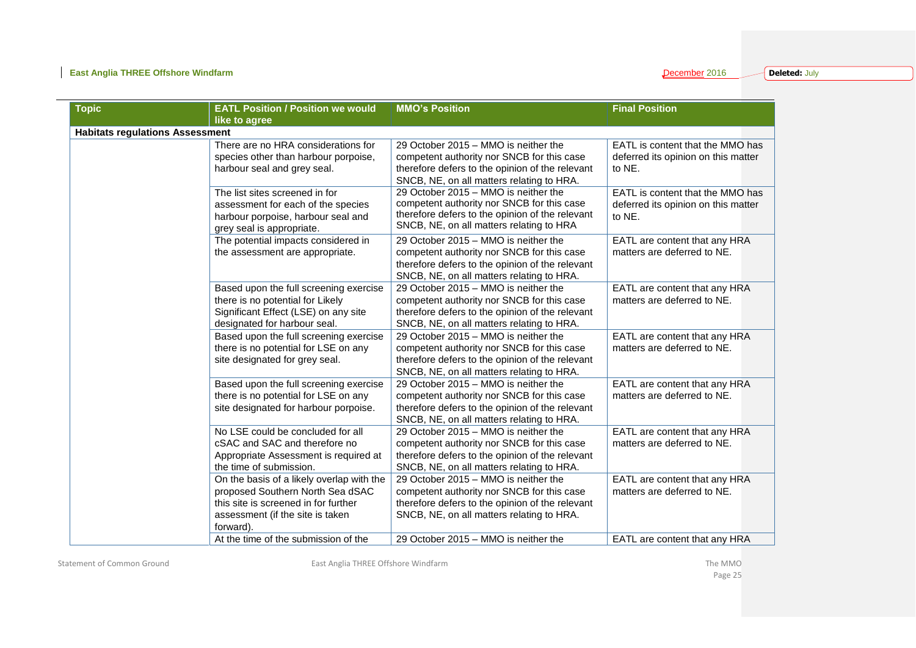| <b>Topic</b>                           | <b>EATL Position / Position we would</b><br>like to agree                                                                                                              | <b>MMO's Position</b>                                                                                                                                                              | <b>Final Position</b>                                                             |
|----------------------------------------|------------------------------------------------------------------------------------------------------------------------------------------------------------------------|------------------------------------------------------------------------------------------------------------------------------------------------------------------------------------|-----------------------------------------------------------------------------------|
| <b>Habitats regulations Assessment</b> |                                                                                                                                                                        |                                                                                                                                                                                    |                                                                                   |
|                                        | There are no HRA considerations for<br>species other than harbour porpoise,<br>harbour seal and grey seal.                                                             | 29 October 2015 - MMO is neither the<br>competent authority nor SNCB for this case<br>therefore defers to the opinion of the relevant<br>SNCB, NE, on all matters relating to HRA. | EATL is content that the MMO has<br>deferred its opinion on this matter<br>to NE. |
|                                        | The list sites screened in for<br>assessment for each of the species<br>harbour porpoise, harbour seal and<br>grey seal is appropriate.                                | 29 October 2015 - MMO is neither the<br>competent authority nor SNCB for this case<br>therefore defers to the opinion of the relevant<br>SNCB, NE, on all matters relating to HRA  | EATL is content that the MMO has<br>deferred its opinion on this matter<br>to NE. |
|                                        | The potential impacts considered in<br>the assessment are appropriate.                                                                                                 | 29 October 2015 - MMO is neither the<br>competent authority nor SNCB for this case<br>therefore defers to the opinion of the relevant<br>SNCB, NE, on all matters relating to HRA. | EATL are content that any HRA<br>matters are deferred to NE.                      |
|                                        | Based upon the full screening exercise<br>there is no potential for Likely<br>Significant Effect (LSE) on any site<br>designated for harbour seal.                     | 29 October 2015 - MMO is neither the<br>competent authority nor SNCB for this case<br>therefore defers to the opinion of the relevant<br>SNCB, NE, on all matters relating to HRA. | EATL are content that any HRA<br>matters are deferred to NE.                      |
|                                        | Based upon the full screening exercise<br>there is no potential for LSE on any<br>site designated for grey seal.                                                       | 29 October 2015 - MMO is neither the<br>competent authority nor SNCB for this case<br>therefore defers to the opinion of the relevant<br>SNCB, NE, on all matters relating to HRA. | EATL are content that any HRA<br>matters are deferred to NE.                      |
|                                        | Based upon the full screening exercise<br>there is no potential for LSE on any<br>site designated for harbour porpoise.                                                | 29 October 2015 - MMO is neither the<br>competent authority nor SNCB for this case<br>therefore defers to the opinion of the relevant<br>SNCB, NE, on all matters relating to HRA. | EATL are content that any HRA<br>matters are deferred to NE.                      |
|                                        | No LSE could be concluded for all<br>cSAC and SAC and therefore no<br>Appropriate Assessment is required at<br>the time of submission.                                 | 29 October 2015 - MMO is neither the<br>competent authority nor SNCB for this case<br>therefore defers to the opinion of the relevant<br>SNCB, NE, on all matters relating to HRA. | EATL are content that any HRA<br>matters are deferred to NE.                      |
|                                        | On the basis of a likely overlap with the<br>proposed Southern North Sea dSAC<br>this site is screened in for further<br>assessment (if the site is taken<br>forward). | 29 October 2015 - MMO is neither the<br>competent authority nor SNCB for this case<br>therefore defers to the opinion of the relevant<br>SNCB, NE, on all matters relating to HRA. | EATL are content that any HRA<br>matters are deferred to NE.                      |
|                                        | At the time of the submission of the                                                                                                                                   | 29 October 2015 - MMO is neither the                                                                                                                                               | EATL are content that any HRA                                                     |

Statement of Common Ground **East Anglia THREE Offshore Windfarm East Anglia THREE Offshore Windfarm** The MMO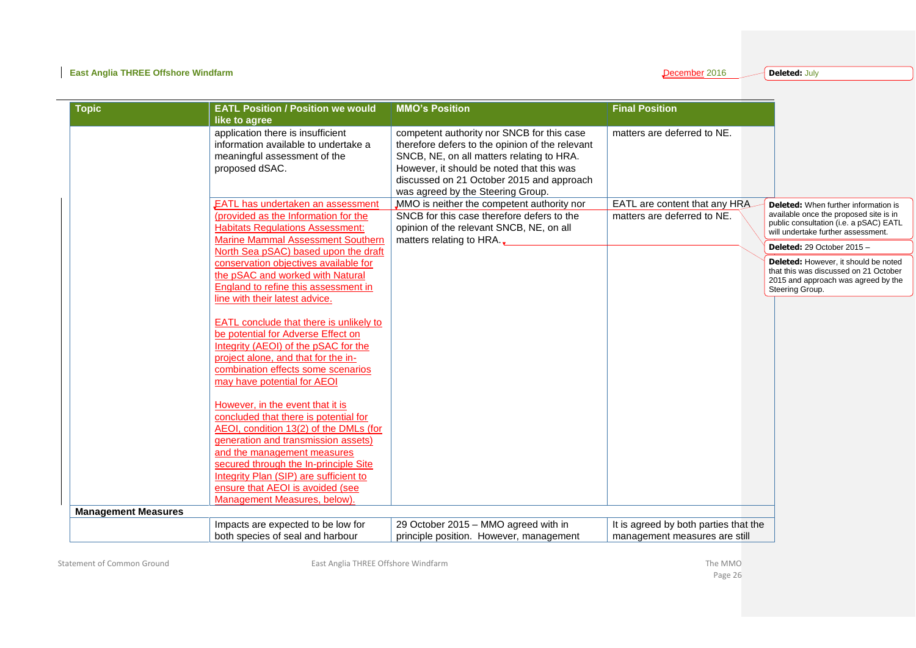| <b>Topic</b>               | <b>EATL Position / Position we would</b>                                                                                                                                                                                           | <b>MMO's Position</b>                                                                                                                                                                                                                | <b>Final Position</b>                                        |                                                                                                                                                                       |
|----------------------------|------------------------------------------------------------------------------------------------------------------------------------------------------------------------------------------------------------------------------------|--------------------------------------------------------------------------------------------------------------------------------------------------------------------------------------------------------------------------------------|--------------------------------------------------------------|-----------------------------------------------------------------------------------------------------------------------------------------------------------------------|
|                            | like to agree<br>application there is insufficient<br>information available to undertake a<br>meaningful assessment of the<br>proposed dSAC.                                                                                       | competent authority nor SNCB for this case<br>therefore defers to the opinion of the relevant<br>SNCB, NE, on all matters relating to HRA.<br>However, it should be noted that this was<br>discussed on 21 October 2015 and approach | matters are deferred to NE.                                  |                                                                                                                                                                       |
|                            | <b>EATL</b> has undertaken an assessment<br>(provided as the Information for the<br><b>Habitats Regulations Assessment:</b>                                                                                                        | was agreed by the Steering Group.<br>MMO is neither the competent authority nor<br>SNCB for this case therefore defers to the<br>opinion of the relevant SNCB, NE, on all                                                            | EATL are content that any HRA<br>matters are deferred to NE. | <b>Deleted:</b> When further information is<br>available once the proposed site is in<br>public consultation (i.e. a pSAC) EATL<br>will undertake further assessment. |
|                            | <b>Marine Mammal Assessment Southern</b><br>North Sea pSAC) based upon the draft                                                                                                                                                   | matters relating to HRA.                                                                                                                                                                                                             |                                                              | Deleted: 29 October 2015 -                                                                                                                                            |
|                            | conservation objectives available for<br>the pSAC and worked with Natural<br>England to refine this assessment in<br>line with their latest advice.                                                                                |                                                                                                                                                                                                                                      |                                                              | <b>Deleted:</b> However, it should be noted<br>that this was discussed on 21 October<br>2015 and approach was agreed by the<br>Steering Group.                        |
|                            | EATL conclude that there is unlikely to<br>be potential for Adverse Effect on<br>Integrity (AEOI) of the pSAC for the<br>project alone, and that for the in-<br>combination effects some scenarios<br>may have potential for AEOI  |                                                                                                                                                                                                                                      |                                                              |                                                                                                                                                                       |
|                            | However, in the event that it is<br>concluded that there is potential for<br>AEOI, condition 13(2) of the DMLs (for<br>generation and transmission assets)<br>and the management measures<br>secured through the In-principle Site |                                                                                                                                                                                                                                      |                                                              |                                                                                                                                                                       |
|                            | Integrity Plan (SIP) are sufficient to<br>ensure that AEOI is avoided (see<br>Management Measures, below).                                                                                                                         |                                                                                                                                                                                                                                      |                                                              |                                                                                                                                                                       |
| <b>Management Measures</b> | Impacts are expected to be low for                                                                                                                                                                                                 | 29 October 2015 - MMO agreed with in                                                                                                                                                                                                 | It is agreed by both parties that the                        |                                                                                                                                                                       |
|                            | both species of seal and harbour                                                                                                                                                                                                   | principle position. However, management                                                                                                                                                                                              | management measures are still                                |                                                                                                                                                                       |

Statement of Common Ground **East Anglia THREE Offshore Windfarm** The MMO Common Ground The MMO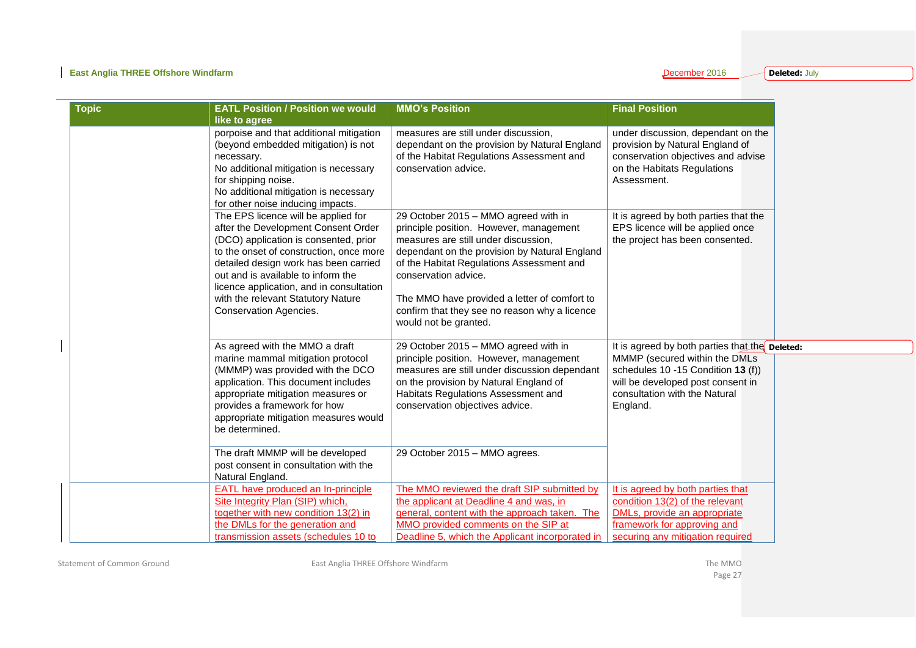#### **East Anglia THREE Offshore Windfarm** December 2016

**Deleted:** July

| <b>Topic</b> | <b>EATL Position / Position we would</b><br>like to agree                                                                                                                                                                                                                                                                                                 | <b>MMO's Position</b>                                                                                                                                                                                                                                                                                                                                                   | <b>Final Position</b>                                                                                                                                                                                   |
|--------------|-----------------------------------------------------------------------------------------------------------------------------------------------------------------------------------------------------------------------------------------------------------------------------------------------------------------------------------------------------------|-------------------------------------------------------------------------------------------------------------------------------------------------------------------------------------------------------------------------------------------------------------------------------------------------------------------------------------------------------------------------|---------------------------------------------------------------------------------------------------------------------------------------------------------------------------------------------------------|
|              | porpoise and that additional mitigation<br>(beyond embedded mitigation) is not<br>necessary.<br>No additional mitigation is necessary<br>for shipping noise.<br>No additional mitigation is necessary<br>for other noise inducing impacts.                                                                                                                | measures are still under discussion,<br>dependant on the provision by Natural England<br>of the Habitat Regulations Assessment and<br>conservation advice.                                                                                                                                                                                                              | under discussion, dependant on the<br>provision by Natural England of<br>conservation objectives and advise<br>on the Habitats Regulations<br>Assessment.                                               |
|              | The EPS licence will be applied for<br>after the Development Consent Order<br>(DCO) application is consented, prior<br>to the onset of construction, once more<br>detailed design work has been carried<br>out and is available to inform the<br>licence application, and in consultation<br>with the relevant Statutory Nature<br>Conservation Agencies. | 29 October 2015 - MMO agreed with in<br>principle position. However, management<br>measures are still under discussion,<br>dependant on the provision by Natural England<br>of the Habitat Regulations Assessment and<br>conservation advice.<br>The MMO have provided a letter of comfort to<br>confirm that they see no reason why a licence<br>would not be granted. | It is agreed by both parties that the<br>EPS licence will be applied once<br>the project has been consented.                                                                                            |
|              | As agreed with the MMO a draft<br>marine mammal mitigation protocol<br>(MMMP) was provided with the DCO<br>application. This document includes<br>appropriate mitigation measures or<br>provides a framework for how<br>appropriate mitigation measures would<br>be determined.                                                                           | 29 October 2015 - MMO agreed with in<br>principle position. However, management<br>measures are still under discussion dependant<br>on the provision by Natural England of<br>Habitats Regulations Assessment and<br>conservation objectives advice.                                                                                                                    | It is agreed by both parties that the Deleted:<br>MMMP (secured within the DMLs<br>schedules 10 -15 Condition 13 (f))<br>will be developed post consent in<br>consultation with the Natural<br>England. |
|              | The draft MMMP will be developed<br>post consent in consultation with the<br>Natural England.                                                                                                                                                                                                                                                             | 29 October 2015 - MMO agrees.                                                                                                                                                                                                                                                                                                                                           |                                                                                                                                                                                                         |
|              | EATL have produced an In-principle<br>Site Integrity Plan (SIP) which,<br>together with new condition 13(2) in<br>the DMLs for the generation and<br>transmission assets (schedules 10 to                                                                                                                                                                 | The MMO reviewed the draft SIP submitted by<br>the applicant at Deadline 4 and was, in<br>general, content with the approach taken. The<br>MMO provided comments on the SIP at<br>Deadline 5, which the Applicant incorporated in                                                                                                                                       | It is agreed by both parties that<br>condition 13(2) of the relevant<br>DMLs, provide an appropriate<br>framework for approving and<br>securing any mitigation required                                 |

Statement of Common Ground **East Anglia THREE Offshore Windfarm East Anglia THREE Offshore Windfarm** The MMO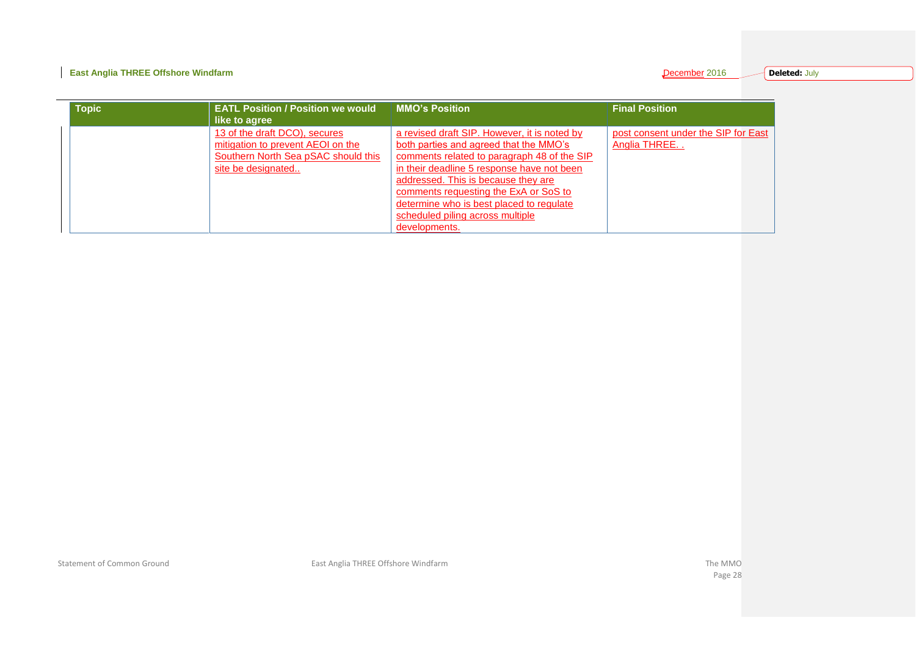#### **East Anglia THREE Offshore Windfarm** December 2016

**Deleted:** July

| <b>Topic</b> | <b>EATL Position / Position we would</b><br>like to agree                                                                       | <b>MMO's Position</b>                                                                                                                                                                                                                                                                                                                                                | <b>Final Position</b>                               |
|--------------|---------------------------------------------------------------------------------------------------------------------------------|----------------------------------------------------------------------------------------------------------------------------------------------------------------------------------------------------------------------------------------------------------------------------------------------------------------------------------------------------------------------|-----------------------------------------------------|
|              | 13 of the draft DCO), secures<br>mitigation to prevent AEOI on the<br>Southern North Sea pSAC should this<br>site be designated | a revised draft SIP. However, it is noted by<br>both parties and agreed that the MMO's<br>comments related to paragraph 48 of the SIP<br>in their deadline 5 response have not been<br>addressed. This is because they are<br>comments requesting the ExA or SoS to<br>determine who is best placed to regulate<br>scheduled piling across multiple<br>developments. | post consent under the SIP for East<br>Anglia THREE |

Statement of Common Ground **East Anglia THREE Offshore Windfarm East Anglia THREE Offshore Windfarm** The MMO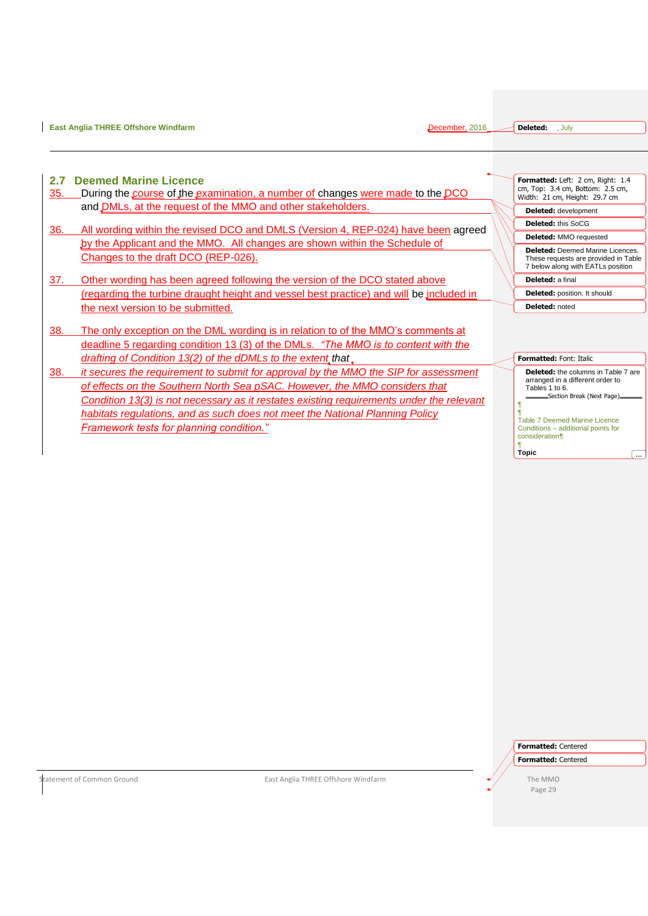Section Break (Next Page)

¶ Table 7 Deemed Marine Licence Conditions – additional points for consideration¶

¶ **Topic** ...

¶

<span id="page-29-0"></span>

| 2.7        | <b>Deemed Marine Licence</b>                                                            | Formatted: Left: 2 cm, Right: 1.4                                 |
|------------|-----------------------------------------------------------------------------------------|-------------------------------------------------------------------|
| <u>35.</u> | During the course of the examination, a number of changes were made to the DCO          | cm, Top: 3.4 cm, Bottom: 2.5 cm,<br>Width: 21 cm, Height: 29.7 cm |
|            | and <b>DMLs</b> , at the request of the MMO and other stakeholders.                     |                                                                   |
|            |                                                                                         | <b>Deleted:</b> development                                       |
| 36.        | All wording within the revised DCO and DMLS (Version 4, REP-024) have been agreed       | <b>Deleted: this SoCG</b>                                         |
|            |                                                                                         | <b>Deleted: MMO requested</b>                                     |
|            | by the Applicant and the MMO. All changes are shown within the Schedule of              | <b>Deleted:</b> Deemed Marine Licences.                           |
|            | Changes to the draft DCO (REP-026).                                                     | These requests are provided in Table                              |
|            |                                                                                         | 7 below along with EATLs position                                 |
| 37.        | Other wording has been agreed following the version of the DCO stated above             | <b>Deleted:</b> a final                                           |
|            | (regarding the turbine draught height and vessel best practice) and will be jncluded in | <b>Deleted:</b> position. It should                               |
|            | the next version to be submitted.                                                       | <b>Deleted: noted</b>                                             |
|            |                                                                                         |                                                                   |
| 38.        | The only exception on the DML wording is in relation to of the MMO's comments at        |                                                                   |
|            | deadline 5 regarding condition 13 (3) of the DMLs. "The MMO is to content with the      |                                                                   |
|            | drafting of Condition 13(2) of the dDMLs to the extent that.                            | <b>Formatted: Font: Italic</b>                                    |
| 38.        | it secures the requirement to submit for approval by the MMO the SIP for assessment     | Deleted: the columns in Table 7 are                               |
|            | of effects on the Southern North Sea pSAC. However, the MMO considers that              | arranged in a different order to<br>Tables 1 to 6.                |

*Condition 13(3) is not necessary as it restates existing requirements under the relevant* 

*habitats regulations, and as such does not meet the National Planning Policy* 

*Framework tests for planning condition."*

Statement of Common Ground **East Anglia THREE Offshore Windfarm**  $\sqrt{ }$  The MMO

**Formatted:** Centered **Formatted:** Centered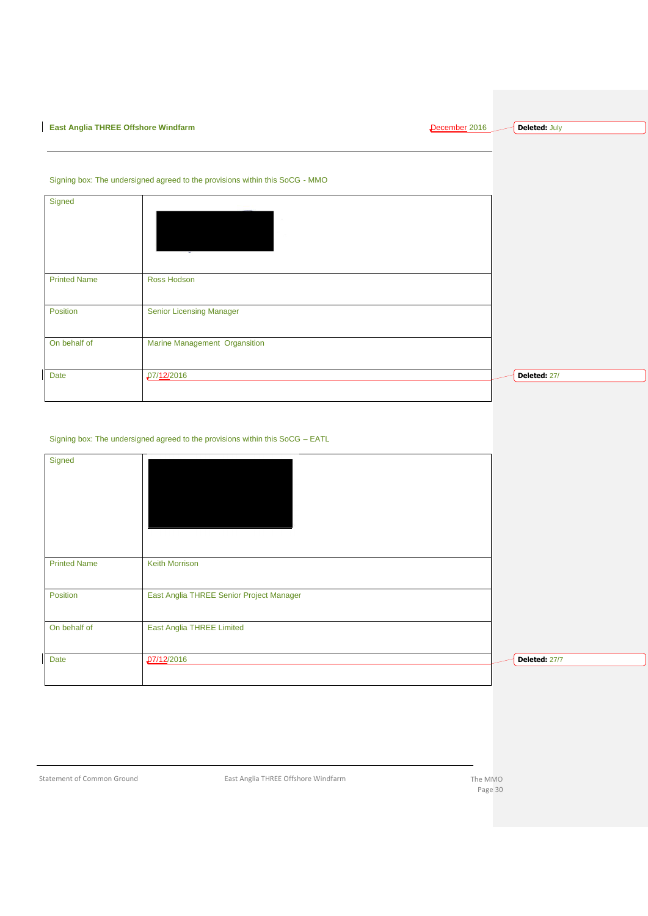### **East Anglia THREE Offshore Windfarm** December 2016 2016 2016 2016 2016 2016

| <b>cember</b> 2016 | <b>Deleted: July</b> |  |
|--------------------|----------------------|--|
|--------------------|----------------------|--|

| Signed              | ł,                              |              |
|---------------------|---------------------------------|--------------|
| <b>Printed Name</b> | Ross Hodson                     |              |
| Position            | <b>Senior Licensing Manager</b> |              |
| On behalf of        | Marine Management Organsition   |              |
| Date                | 07/12/2016                      | Deleted: 27/ |

#### Signing box: The undersigned agreed to the provisions within this SoCG - MMO

#### Signing box: The undersigned agreed to the provisions within this SoCG – EATL

| Signed              |                                          |               |
|---------------------|------------------------------------------|---------------|
| <b>Printed Name</b> | <b>Keith Morrison</b>                    |               |
| Position            | East Anglia THREE Senior Project Manager |               |
| On behalf of        | <b>East Anglia THREE Limited</b>         |               |
| Date                | 07/12/2016                               | Deleted: 27/7 |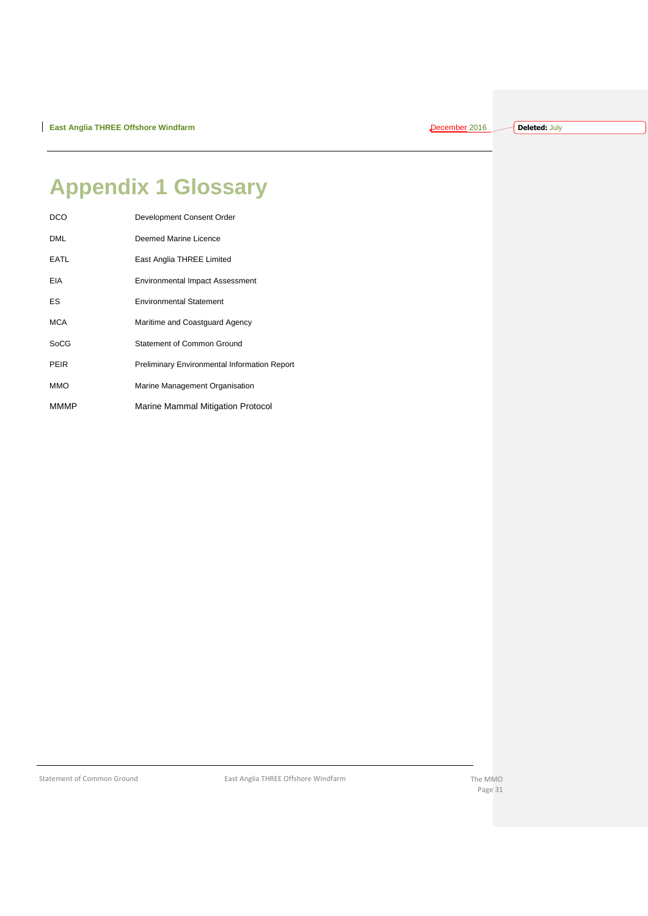## <span id="page-31-0"></span>**Appendix 1 Glossary**

| <b>DCO</b>  | Development Consent Order                           |
|-------------|-----------------------------------------------------|
| <b>DML</b>  | Deemed Marine Licence                               |
| EATL        | East Anglia THREE Limited                           |
| EIA         | <b>Environmental Impact Assessment</b>              |
| ES          | <b>Environmental Statement</b>                      |
| <b>MCA</b>  | Maritime and Coastguard Agency                      |
| SoCG        | Statement of Common Ground                          |
| PEIR        | <b>Preliminary Environmental Information Report</b> |
| <b>MMO</b>  | Marine Management Organisation                      |
| <b>MMMP</b> | Marine Mammal Mitigation Protocol                   |

Statement of Common Ground **East Anglia THREE Offshore Windfarm** The MMO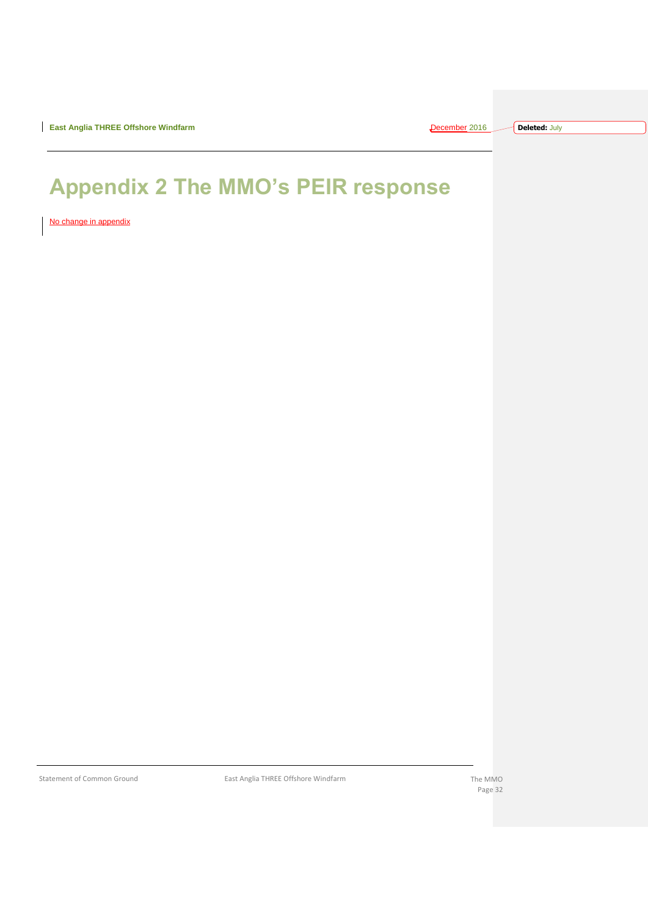| <b>December</b> 2016 |  |  |
|----------------------|--|--|
|                      |  |  |

### <span id="page-32-0"></span>**Appendix 2 The MMO's PEIR response**

No change in appendix

Statement of Common Ground **East Anglia THREE Offshore Windfarm** The MMO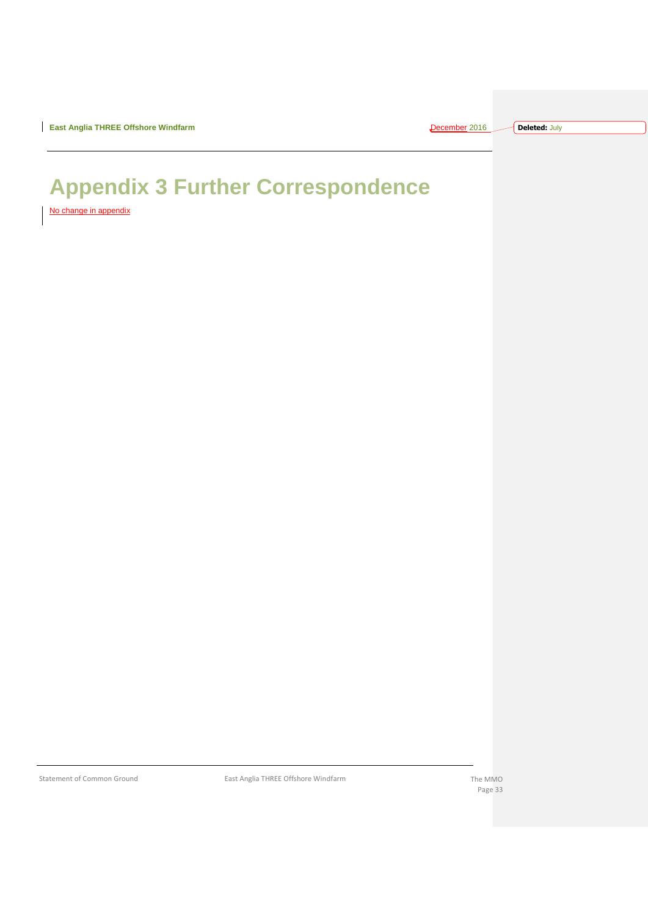| ecember 2016 |  |  |
|--------------|--|--|
|              |  |  |

### <span id="page-33-0"></span>**Appendix 3 Further Correspondence**

No change in appendix

Statement of Common Ground **East Anglia THREE Offshore Windfarm** The MMO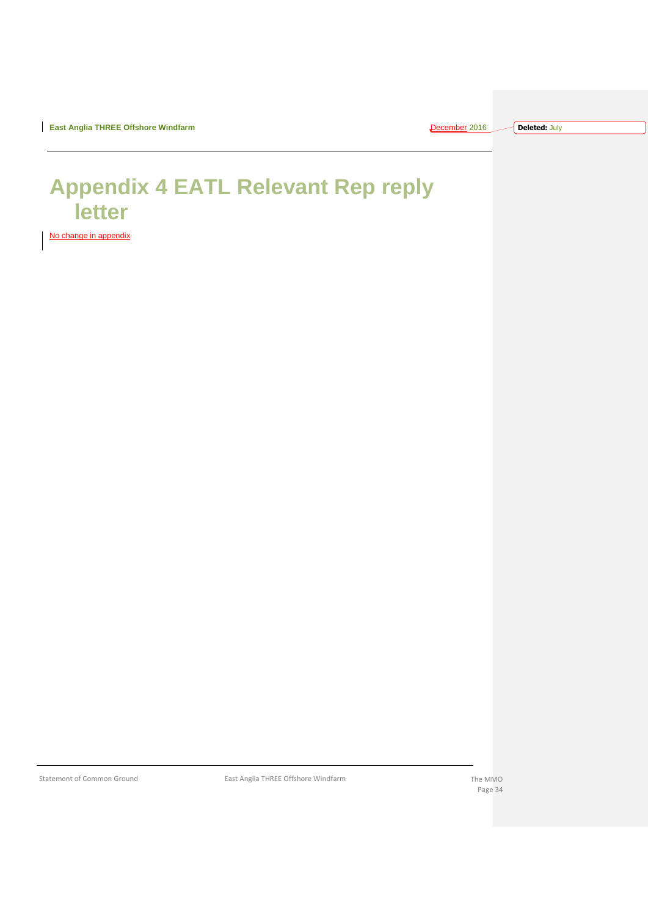| <b>December</b> 2016 |  |  |
|----------------------|--|--|
|                      |  |  |

### <span id="page-34-0"></span>**Appendix 4 EATL Relevant Rep reply letter**

No change in appendix

Statement of Common Ground **East Anglia THREE Offshore Windfarm** The MMO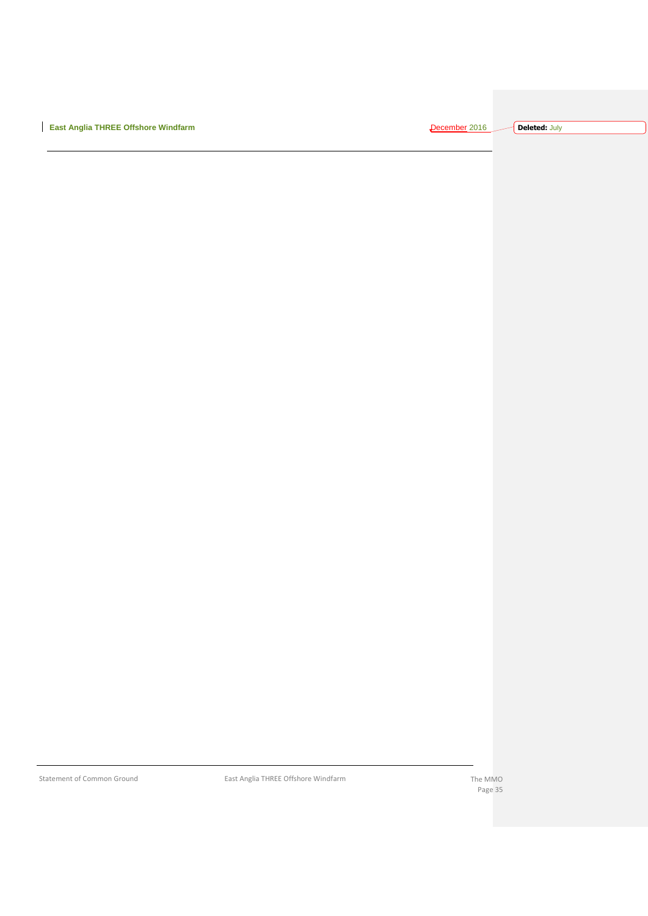Statement of Common Ground **East Anglia THREE Offshore Windfarm** The MMO